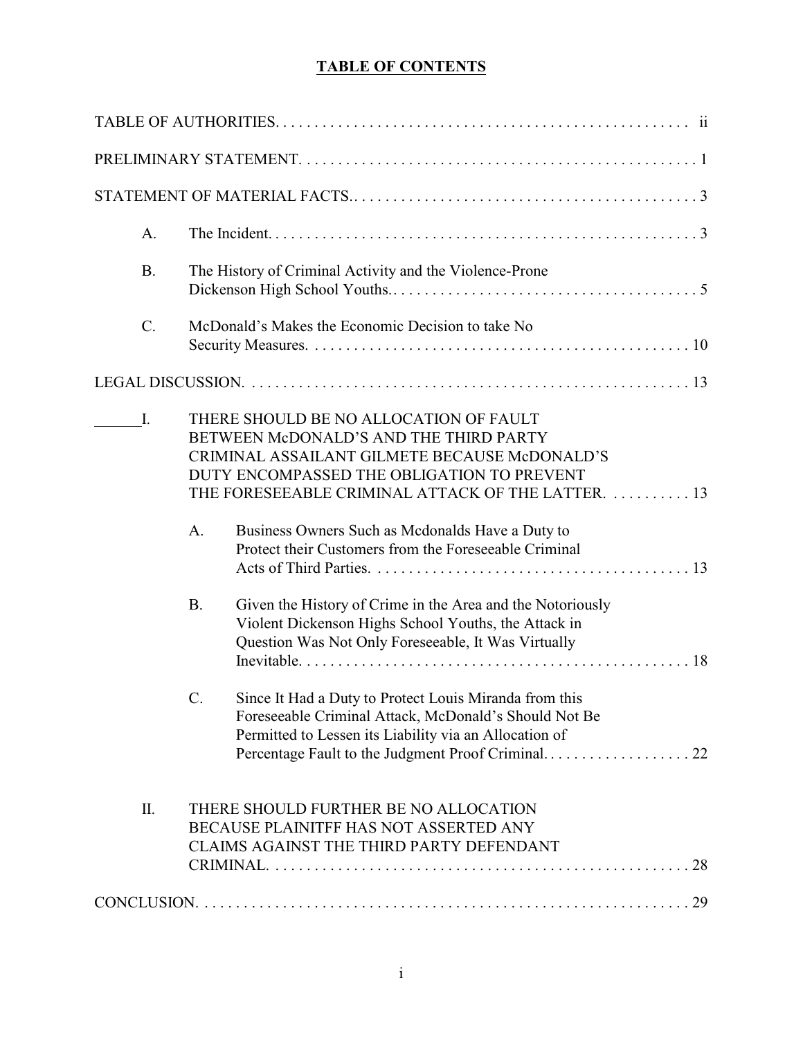# **TABLE OF CONTENTS**

| A.        |                                                                                                                                                                                                                                       |  |  |  |  |
|-----------|---------------------------------------------------------------------------------------------------------------------------------------------------------------------------------------------------------------------------------------|--|--|--|--|
| <b>B.</b> | The History of Criminal Activity and the Violence-Prone                                                                                                                                                                               |  |  |  |  |
| $C$ .     | McDonald's Makes the Economic Decision to take No                                                                                                                                                                                     |  |  |  |  |
|           |                                                                                                                                                                                                                                       |  |  |  |  |
| I.        | THERE SHOULD BE NO ALLOCATION OF FAULT<br>BETWEEN McDONALD'S AND THE THIRD PARTY<br>CRIMINAL ASSAILANT GILMETE BECAUSE McDONALD'S<br>DUTY ENCOMPASSED THE OBLIGATION TO PREVENT<br>THE FORESEEABLE CRIMINAL ATTACK OF THE LATTER.  13 |  |  |  |  |
|           | Business Owners Such as Mcdonalds Have a Duty to<br>A.<br>Protect their Customers from the Foreseeable Criminal                                                                                                                       |  |  |  |  |
|           | <b>B.</b><br>Given the History of Crime in the Area and the Notoriously<br>Violent Dickenson Highs School Youths, the Attack in<br>Question Was Not Only Foreseeable, It Was Virtually                                                |  |  |  |  |
|           | Since It Had a Duty to Protect Louis Miranda from this<br>C.<br>Foreseeable Criminal Attack, McDonald's Should Not Be<br>Permitted to Lessen its Liability via an Allocation of                                                       |  |  |  |  |
| Π.        | THERE SHOULD FURTHER BE NO ALLOCATION<br>BECAUSE PLAINITFF HAS NOT ASSERTED ANY<br>CLAIMS AGAINST THE THIRD PARTY DEFENDANT                                                                                                           |  |  |  |  |
|           |                                                                                                                                                                                                                                       |  |  |  |  |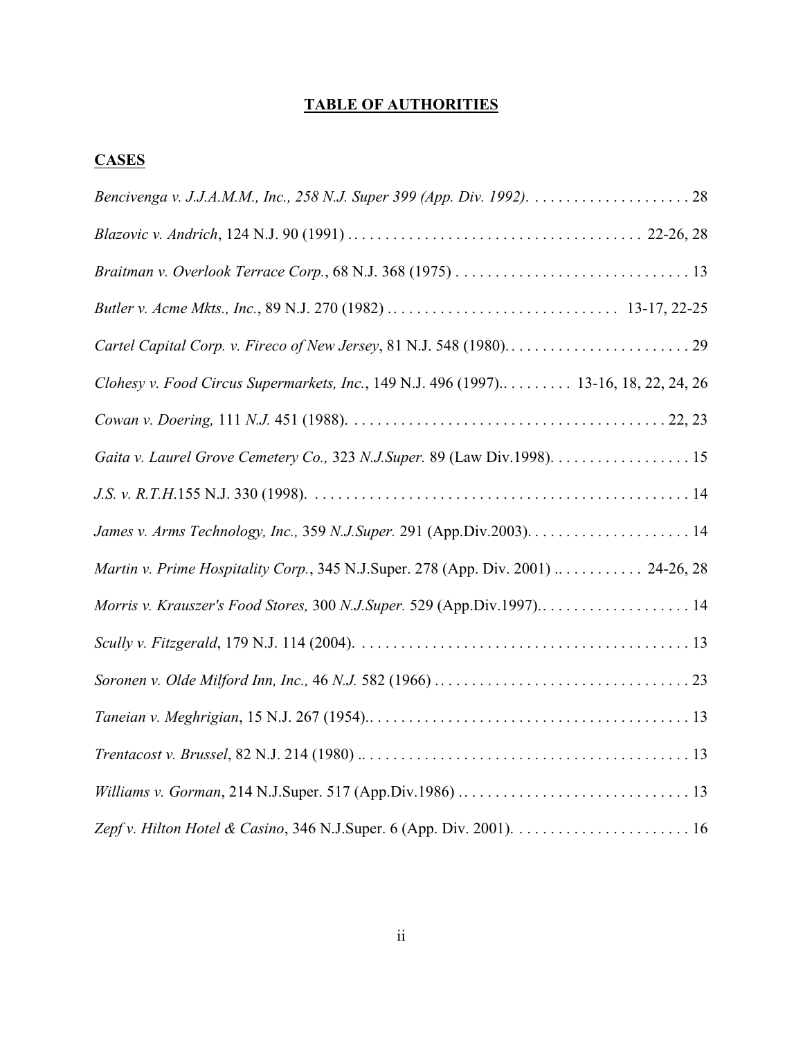# **TABLE OF AUTHORITIES**

# **CASES**

| Clohesy v. Food Circus Supermarkets, Inc., 149 N.J. 496 (1997) 13-16, 18, 22, 24, 26                                                      |
|-------------------------------------------------------------------------------------------------------------------------------------------|
|                                                                                                                                           |
| Gaita v. Laurel Grove Cemetery Co., 323 N.J.Super. 89 (Law Div.1998). 15                                                                  |
|                                                                                                                                           |
|                                                                                                                                           |
| Martin v. Prime Hospitality Corp., 345 N.J.Super. 278 (App. Div. 2001)  24-26, 28                                                         |
| Morris v. Krauszer's Food Stores, 300 N.J.Super. 529 (App.Div.1997) 14                                                                    |
|                                                                                                                                           |
|                                                                                                                                           |
|                                                                                                                                           |
| $Trentacost v. Brussel, 82 N.J. 214 (1980) \ldots \ldots \ldots \ldots \ldots \ldots \ldots \ldots \ldots \ldots \ldots \ldots \ldots 13$ |
|                                                                                                                                           |
|                                                                                                                                           |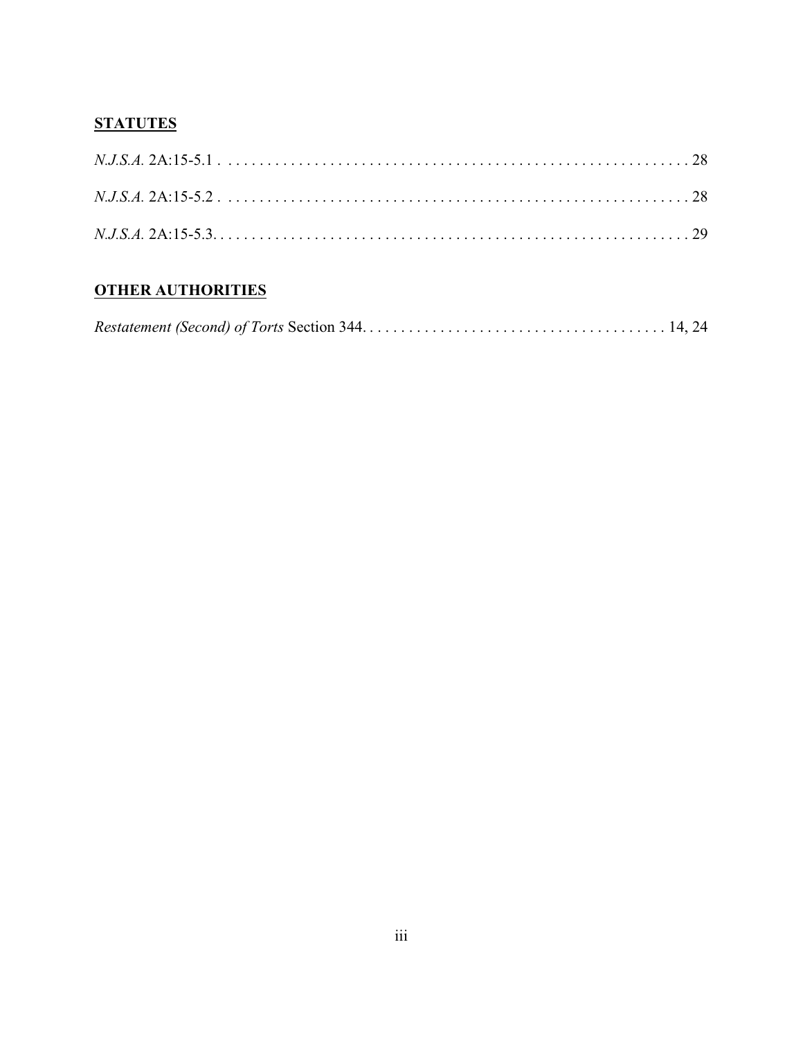# **STATUTES**

# **OTHER AUTHORITIES**

|--|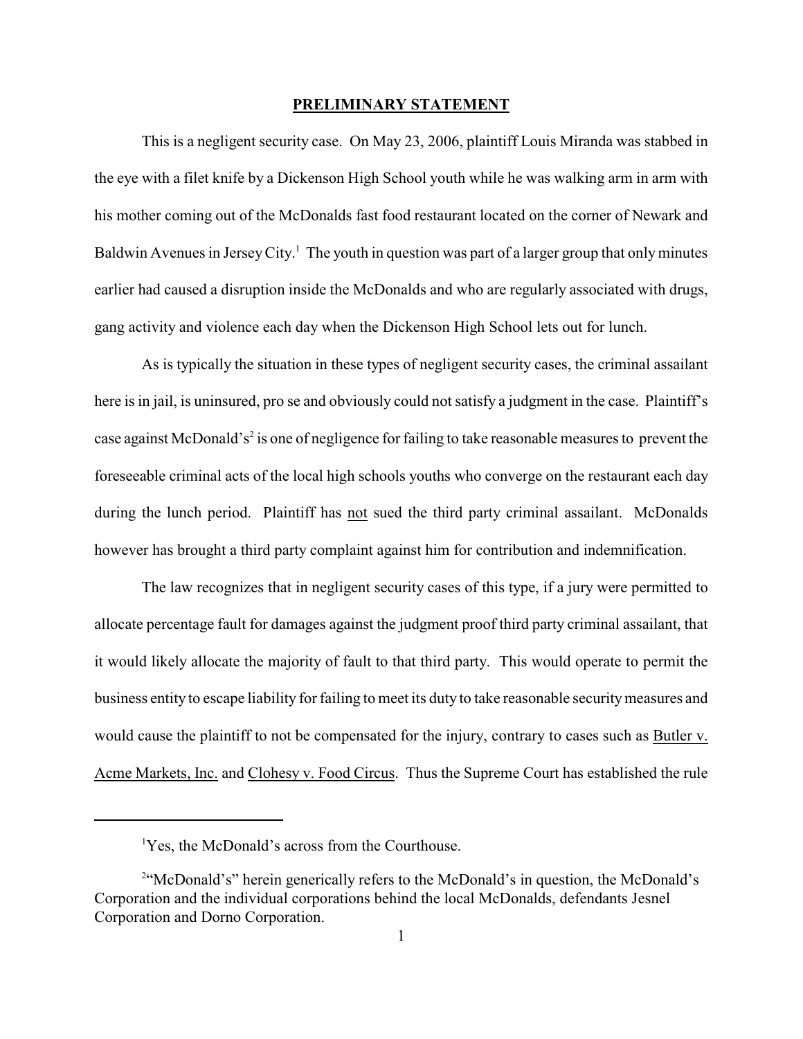#### **PRELIMINARY STATEMENT**

This is a negligent security case. On May 23, 2006, plaintiff Louis Miranda was stabbed in the eye with a filet knife by a Dickenson High School youth while he was walking arm in arm with his mother coming out of the McDonalds fast food restaurant located on the corner of Newark and Baldwin Avenues in Jersey City.<sup>1</sup> The youth in question was part of a larger group that only minutes earlier had caused a disruption inside the McDonalds and who are regularly associated with drugs, gang activity and violence each day when the Dickenson High School lets out for lunch.

As is typically the situation in these types of negligent security cases, the criminal assailant here is in jail, is uninsured, pro se and obviously could not satisfy a judgment in the case. Plaintiff's case against McDonald's<sup>2</sup> is one of negligence for failing to take reasonable measures to prevent the foreseeable criminal acts of the local high schools youths who converge on the restaurant each day during the lunch period. Plaintiff has not sued the third party criminal assailant. McDonalds however has brought a third party complaint against him for contribution and indemnification.

The law recognizes that in negligent security cases of this type, if a jury were permitted to allocate percentage fault for damages against the judgment proof third party criminal assailant, that it would likely allocate the majority of fault to that third party. This would operate to permit the business entity to escape liability for failing to meet its duty to take reasonable security measures and would cause the plaintiff to not be compensated for the injury, contrary to cases such as Butler v. Acme Markets, Inc. and Clohesy v. Food Circus. Thus the Supreme Court has established the rule

<sup>&</sup>lt;sup>1</sup>Yes, the McDonald's across from the Courthouse.

<sup>&</sup>lt;sup>2</sup>"McDonald's" herein generically refers to the McDonald's in question, the McDonald's Corporation and the individual corporations behind the local McDonalds, defendants Jesnel Corporation and Dorno Corporation.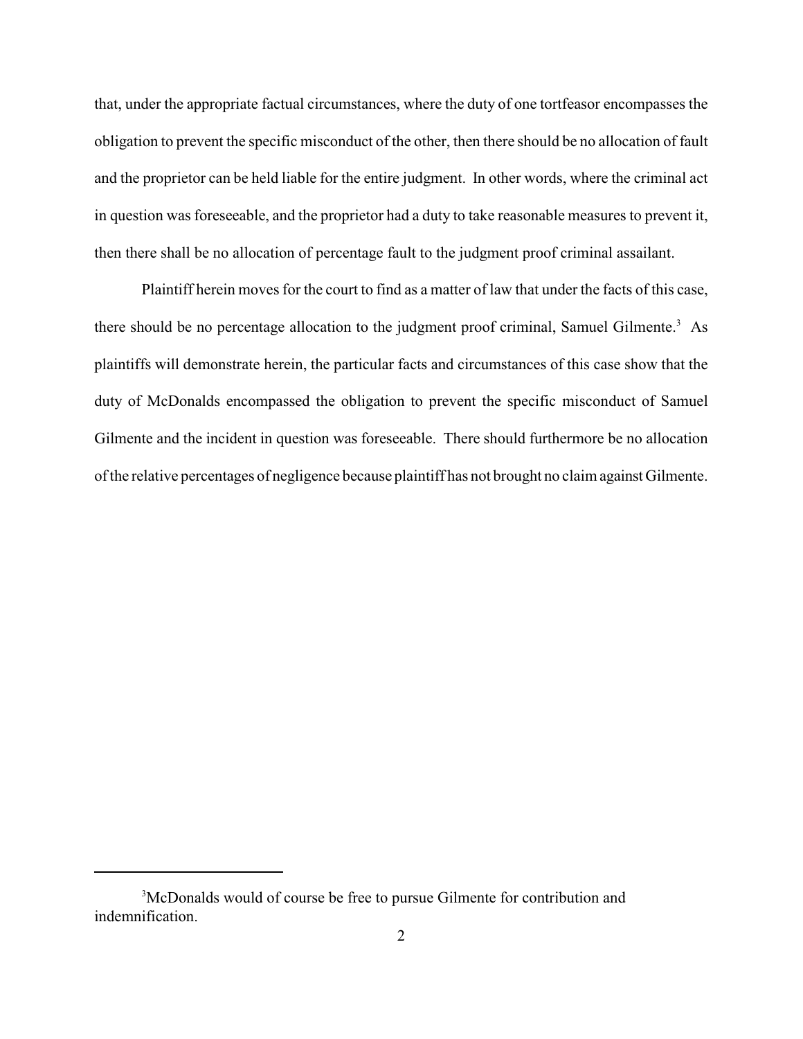that, under the appropriate factual circumstances, where the duty of one tortfeasor encompasses the obligation to prevent the specific misconduct of the other, then there should be no allocation of fault and the proprietor can be held liable for the entire judgment. In other words, where the criminal act in question was foreseeable, and the proprietor had a duty to take reasonable measures to prevent it, then there shall be no allocation of percentage fault to the judgment proof criminal assailant.

Plaintiff herein moves for the court to find as a matter of law that under the facts of this case, there should be no percentage allocation to the judgment proof criminal, Samuel Gilmente.<sup>3</sup> As plaintiffs will demonstrate herein, the particular facts and circumstances of this case show that the duty of McDonalds encompassed the obligation to prevent the specific misconduct of Samuel Gilmente and the incident in question was foreseeable. There should furthermore be no allocation of the relative percentages of negligence because plaintiff has not brought no claim against Gilmente.

<sup>&</sup>lt;sup>3</sup>McDonalds would of course be free to pursue Gilmente for contribution and indemnification.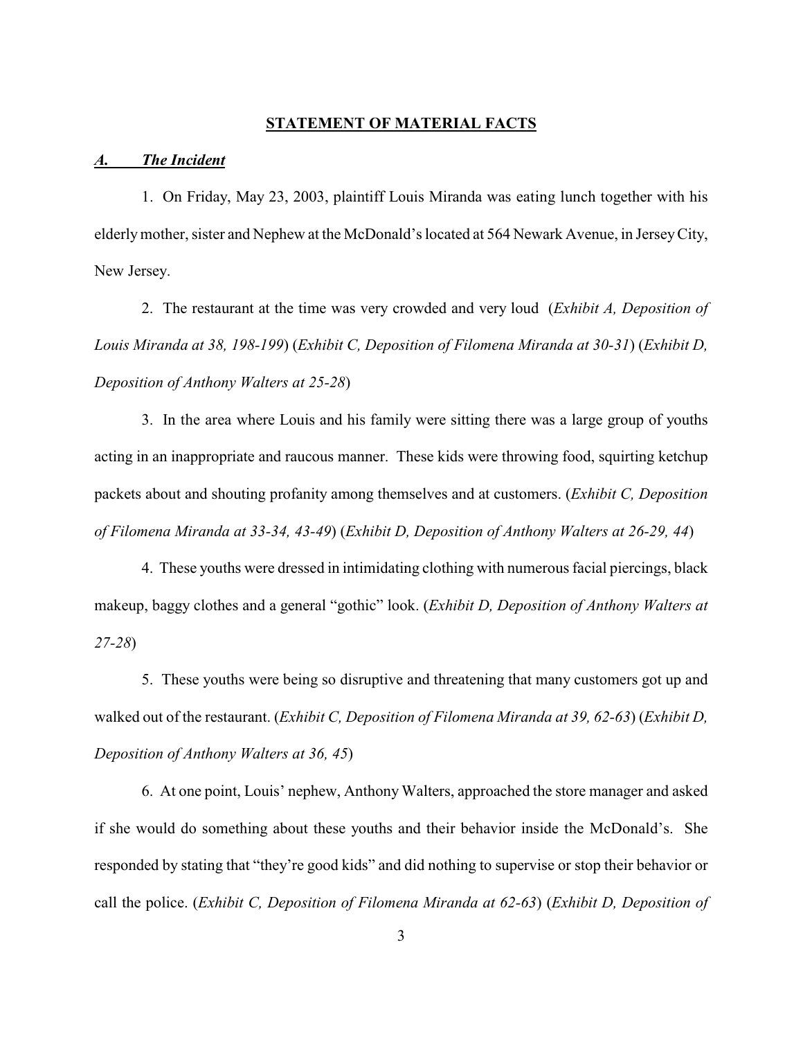### **STATEMENT OF MATERIAL FACTS**

#### *A. The Incident*

1. On Friday, May 23, 2003, plaintiff Louis Miranda was eating lunch together with his elderly mother, sister and Nephew at the McDonald's located at 564 Newark Avenue, in Jersey City, New Jersey.

2. The restaurant at the time was very crowded and very loud (*Exhibit A, Deposition of Louis Miranda at 38, 198-199*) (*Exhibit C, Deposition of Filomena Miranda at 30-31*) (*Exhibit D, Deposition of Anthony Walters at 25-28*)

3. In the area where Louis and his family were sitting there was a large group of youths acting in an inappropriate and raucous manner. These kids were throwing food, squirting ketchup packets about and shouting profanity among themselves and at customers. (*Exhibit C, Deposition of Filomena Miranda at 33-34, 43-49*) (*Exhibit D, Deposition of Anthony Walters at 26-29, 44*)

4. These youths were dressed in intimidating clothing with numerous facial piercings, black makeup, baggy clothes and a general "gothic" look. (*Exhibit D, Deposition of Anthony Walters at 27-28*)

5. These youths were being so disruptive and threatening that many customers got up and walked out of the restaurant. (*Exhibit C, Deposition of Filomena Miranda at 39, 62-63*) (*Exhibit D, Deposition of Anthony Walters at 36, 45*)

6. At one point, Louis' nephew, Anthony Walters, approached the store manager and asked if she would do something about these youths and their behavior inside the McDonald's. She responded by stating that "they're good kids" and did nothing to supervise or stop their behavior or call the police. (*Exhibit C, Deposition of Filomena Miranda at 62-63*) (*Exhibit D, Deposition of*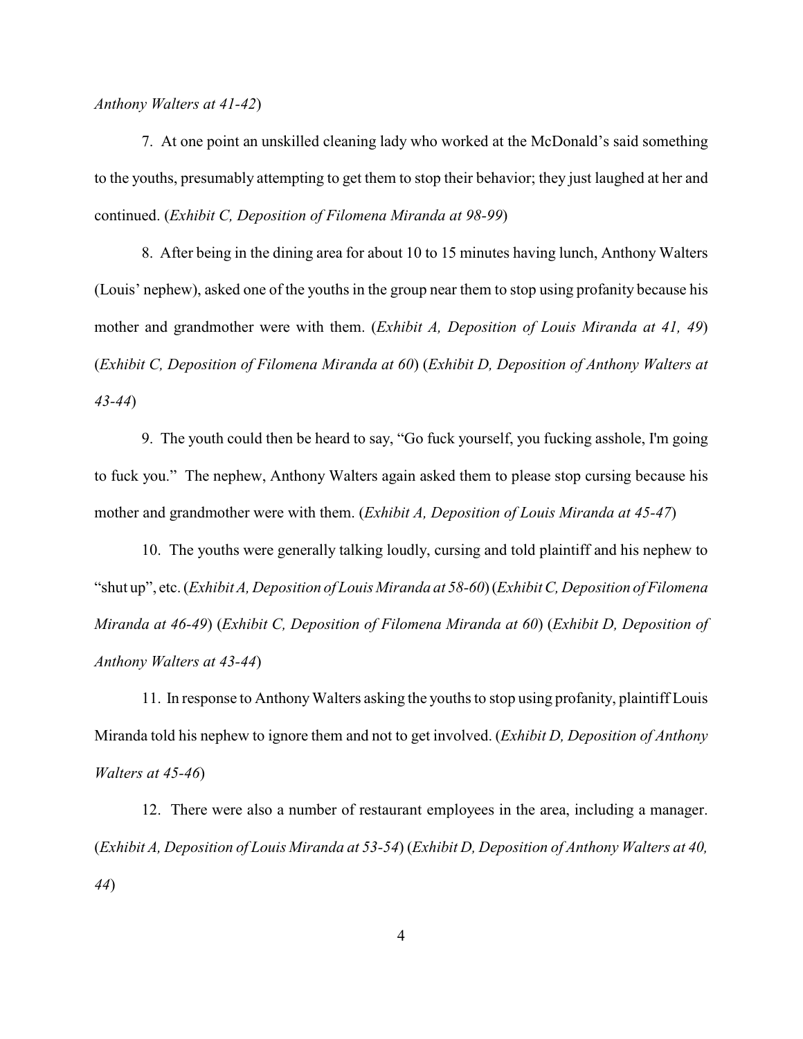*Anthony Walters at 41-42*)

7. At one point an unskilled cleaning lady who worked at the McDonald's said something to the youths, presumably attempting to get them to stop their behavior; they just laughed at her and continued. (*Exhibit C, Deposition of Filomena Miranda at 98-99*)

8. After being in the dining area for about 10 to 15 minutes having lunch, Anthony Walters (Louis' nephew), asked one of the youths in the group near them to stop using profanity because his mother and grandmother were with them. (*Exhibit A, Deposition of Louis Miranda at 41, 49*) (*Exhibit C, Deposition of Filomena Miranda at 60*) (*Exhibit D, Deposition of Anthony Walters at 43-44*)

9. The youth could then be heard to say, "Go fuck yourself, you fucking asshole, I'm going to fuck you." The nephew, Anthony Walters again asked them to please stop cursing because his mother and grandmother were with them. (*Exhibit A, Deposition of Louis Miranda at 45-47*)

10. The youths were generally talking loudly, cursing and told plaintiff and his nephew to "shut up", etc. (*Exhibit A, Deposition of Louis Miranda at 58-60*) (*Exhibit C, Deposition of Filomena Miranda at 46-49*) (*Exhibit C, Deposition of Filomena Miranda at 60*) (*Exhibit D, Deposition of Anthony Walters at 43-44*)

11. In response to Anthony Walters asking the youths to stop using profanity, plaintiff Louis Miranda told his nephew to ignore them and not to get involved. (*Exhibit D, Deposition of Anthony Walters at 45-46*)

12. There were also a number of restaurant employees in the area, including a manager. (*Exhibit A, Deposition of Louis Miranda at 53-54*) (*Exhibit D, Deposition of Anthony Walters at 40, 44*)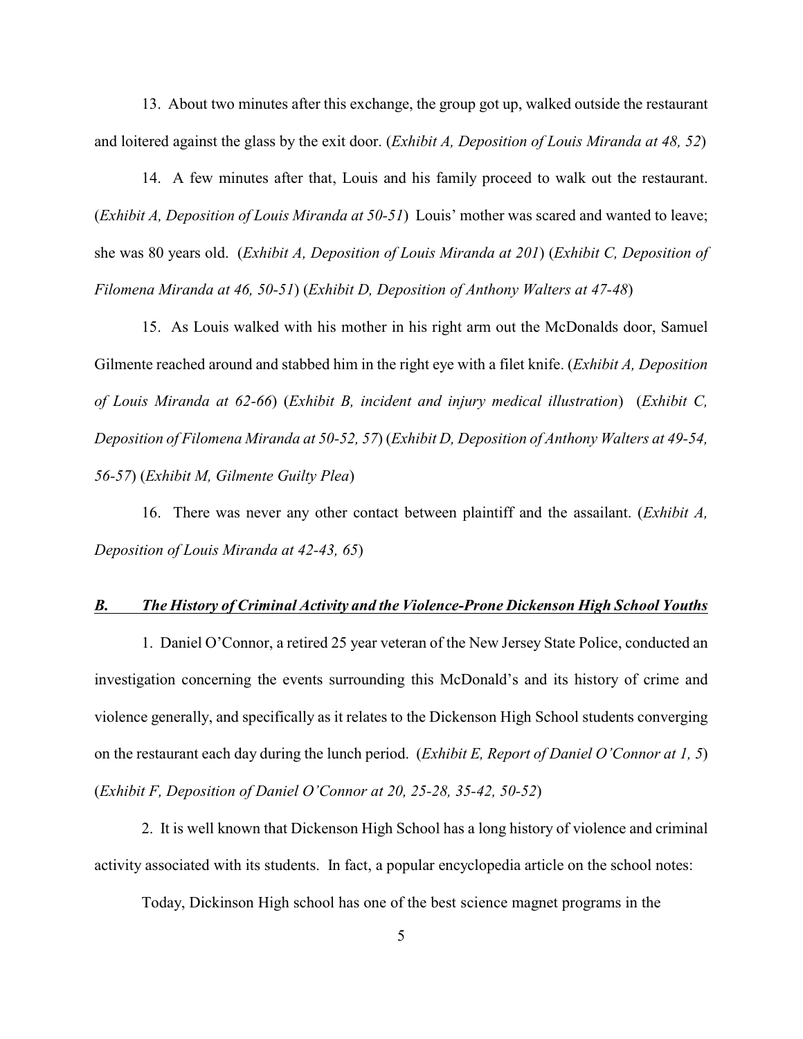13. About two minutes after this exchange, the group got up, walked outside the restaurant and loitered against the glass by the exit door. (*Exhibit A, Deposition of Louis Miranda at 48, 52*)

14. A few minutes after that, Louis and his family proceed to walk out the restaurant. (*Exhibit A, Deposition of Louis Miranda at 50-51*) Louis' mother was scared and wanted to leave; she was 80 years old. (*Exhibit A, Deposition of Louis Miranda at 201*) (*Exhibit C, Deposition of Filomena Miranda at 46, 50-51*) (*Exhibit D, Deposition of Anthony Walters at 47-48*)

15. As Louis walked with his mother in his right arm out the McDonalds door, Samuel Gilmente reached around and stabbed him in the right eye with a filet knife. (*Exhibit A, Deposition of Louis Miranda at 62-66*) (*Exhibit B, incident and injury medical illustration*) (*Exhibit C, Deposition of Filomena Miranda at 50-52, 57*) (*Exhibit D, Deposition of Anthony Walters at 49-54, 56-57*) (*Exhibit M, Gilmente Guilty Plea*)

16. There was never any other contact between plaintiff and the assailant. (*Exhibit A, Deposition of Louis Miranda at 42-43, 65*)

### *B. The History of Criminal Activity and the Violence-Prone Dickenson High School Youths*

1. Daniel O'Connor, a retired 25 year veteran of the New Jersey State Police, conducted an investigation concerning the events surrounding this McDonald's and its history of crime and violence generally, and specifically as it relates to the Dickenson High School students converging on the restaurant each day during the lunch period. (*Exhibit E, Report of Daniel O'Connor at 1, 5*) (*Exhibit F, Deposition of Daniel O'Connor at 20, 25-28, 35-42, 50-52*)

2. It is well known that Dickenson High School has a long history of violence and criminal activity associated with its students. In fact, a popular encyclopedia article on the school notes:

Today, Dickinson High school has one of the best science magnet programs in the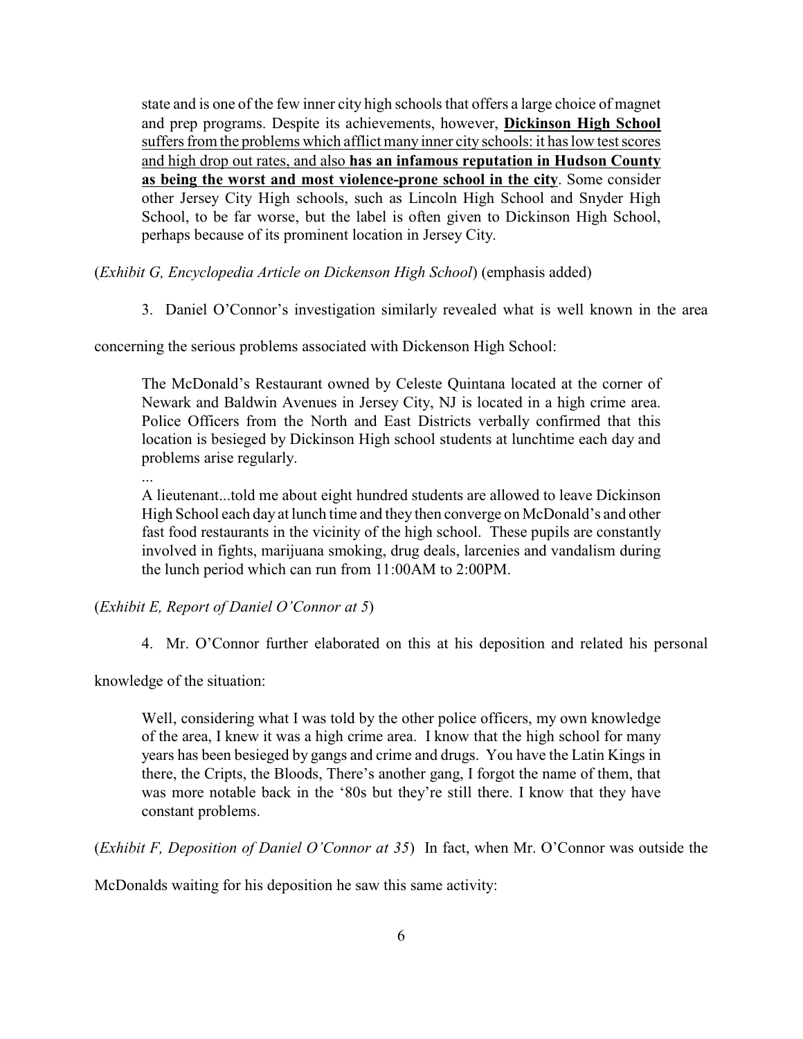state and is one of the few inner city high schools that offers a large choice of magnet and prep programs. Despite its achievements, however, **Dickinson High School** suffers from the problems which afflict many inner city schools: it has low test scores and high drop out rates, and also **has an infamous reputation in Hudson County as being the worst and most violence-prone school in the city**. Some consider other Jersey City High schools, such as Lincoln High School and Snyder High School, to be far worse, but the label is often given to Dickinson High School, perhaps because of its prominent location in Jersey City.

(*Exhibit G, Encyclopedia Article on Dickenson High School*) (emphasis added)

3. Daniel O'Connor's investigation similarly revealed what is well known in the area

concerning the serious problems associated with Dickenson High School:

The McDonald's Restaurant owned by Celeste Quintana located at the corner of Newark and Baldwin Avenues in Jersey City, NJ is located in a high crime area. Police Officers from the North and East Districts verbally confirmed that this location is besieged by Dickinson High school students at lunchtime each day and problems arise regularly.

...

A lieutenant...told me about eight hundred students are allowed to leave Dickinson High School each day at lunch time and they then converge on McDonald's and other fast food restaurants in the vicinity of the high school. These pupils are constantly involved in fights, marijuana smoking, drug deals, larcenies and vandalism during the lunch period which can run from 11:00AM to 2:00PM.

(*Exhibit E, Report of Daniel O'Connor at 5*)

4. Mr. O'Connor further elaborated on this at his deposition and related his personal

knowledge of the situation:

Well, considering what I was told by the other police officers, my own knowledge of the area, I knew it was a high crime area. I know that the high school for many years has been besieged by gangs and crime and drugs. You have the Latin Kings in there, the Cripts, the Bloods, There's another gang, I forgot the name of them, that was more notable back in the '80s but they're still there. I know that they have constant problems.

(*Exhibit F, Deposition of Daniel O'Connor at 35*) In fact, when Mr. O'Connor was outside the

McDonalds waiting for his deposition he saw this same activity: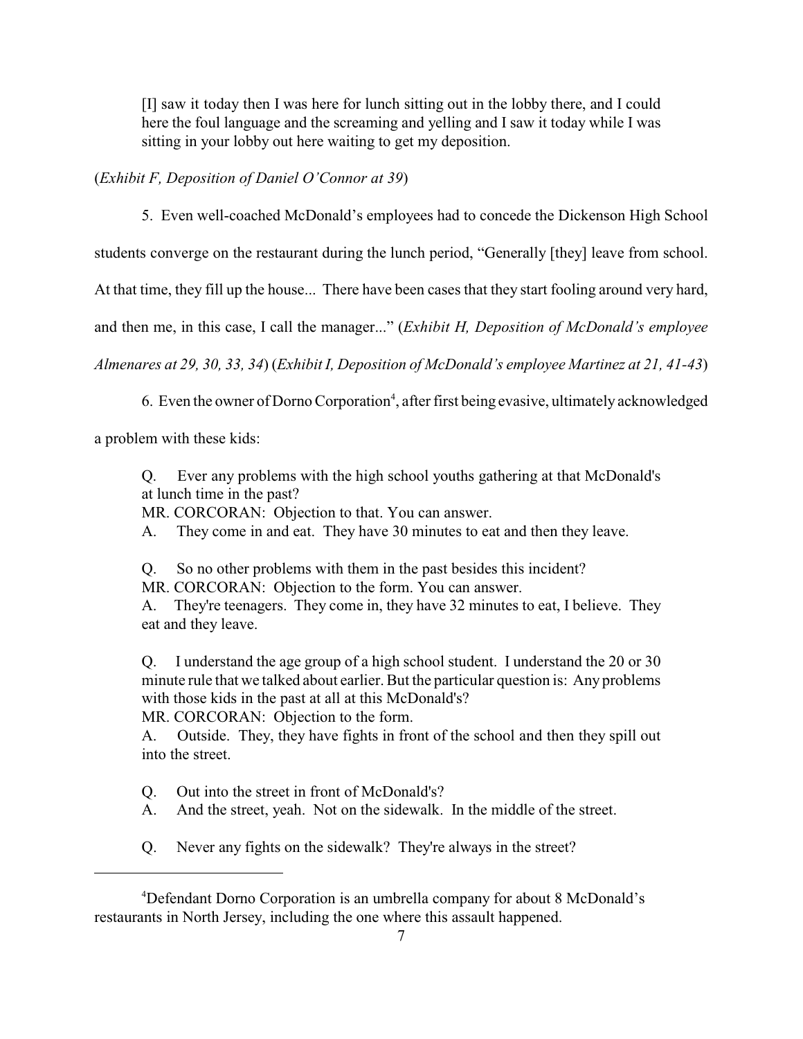[I] saw it today then I was here for lunch sitting out in the lobby there, and I could here the foul language and the screaming and yelling and I saw it today while I was sitting in your lobby out here waiting to get my deposition.

(*Exhibit F, Deposition of Daniel O'Connor at 39*)

5. Even well-coached McDonald's employees had to concede the Dickenson High School

students converge on the restaurant during the lunch period, "Generally [they] leave from school.

At that time, they fill up the house... There have been cases that they start fooling around very hard,

and then me, in this case, I call the manager..." (*Exhibit H, Deposition of McDonald's employee*

*Almenares at 29, 30, 33, 34*) (*Exhibit I, Deposition of McDonald's employee Martinez at 21, 41-43*)

6. Even the owner of Dorno Corporation<sup>4</sup>, after first being evasive, ultimately acknowledged

a problem with these kids:

Q. Ever any problems with the high school youths gathering at that McDonald's at lunch time in the past?

MR. CORCORAN: Objection to that. You can answer.

A. They come in and eat. They have 30 minutes to eat and then they leave.

Q. So no other problems with them in the past besides this incident?

MR. CORCORAN: Objection to the form. You can answer.

A. They're teenagers. They come in, they have 32 minutes to eat, I believe. They eat and they leave.

Q. I understand the age group of a high school student. I understand the 20 or 30 minute rule that we talked about earlier. But the particular question is: Any problems with those kids in the past at all at this McDonald's?

MR. CORCORAN: Objection to the form.

A. Outside. They, they have fights in front of the school and then they spill out into the street.

Q. Out into the street in front of McDonald's?

A. And the street, yeah. Not on the sidewalk. In the middle of the street.

Q. Never any fights on the sidewalk? They're always in the street?

<sup>&</sup>lt;sup>4</sup>Defendant Dorno Corporation is an umbrella company for about 8 McDonald's restaurants in North Jersey, including the one where this assault happened.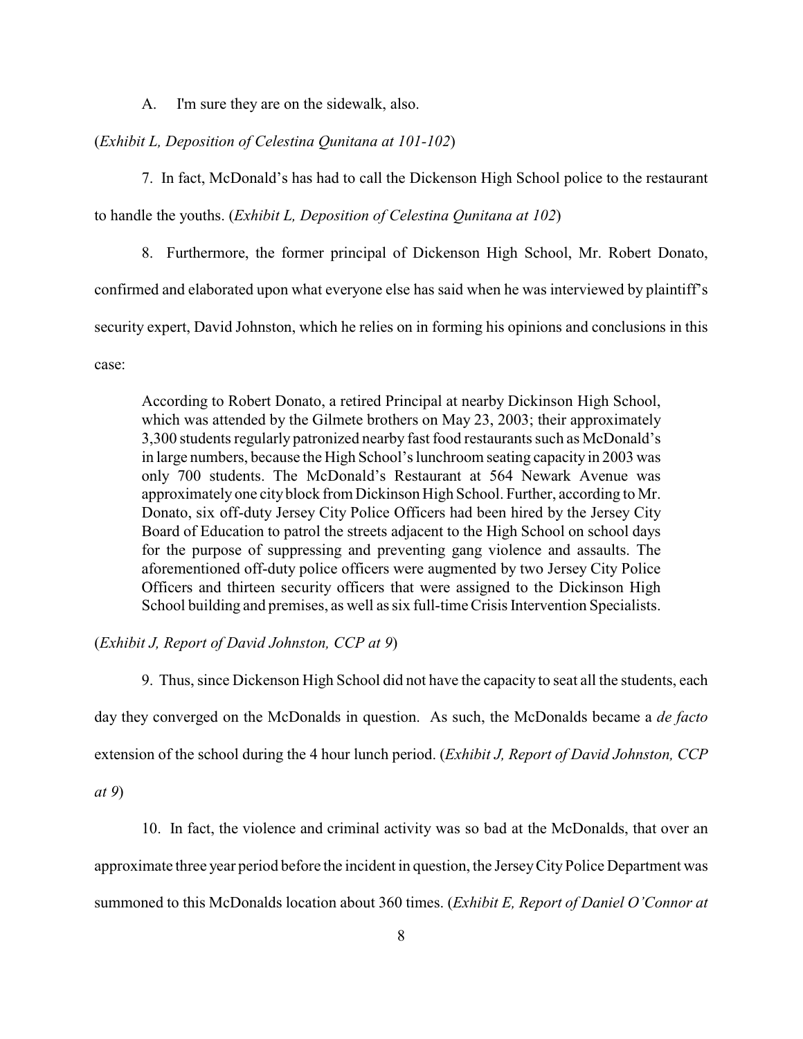A. I'm sure they are on the sidewalk, also.

#### (*Exhibit L, Deposition of Celestina Qunitana at 101-102*)

7. In fact, McDonald's has had to call the Dickenson High School police to the restaurant

to handle the youths. (*Exhibit L, Deposition of Celestina Qunitana at 102*)

8. Furthermore, the former principal of Dickenson High School, Mr. Robert Donato,

confirmed and elaborated upon what everyone else has said when he was interviewed by plaintiff's

security expert, David Johnston, which he relies on in forming his opinions and conclusions in this

case:

According to Robert Donato, a retired Principal at nearby Dickinson High School, which was attended by the Gilmete brothers on May 23, 2003; their approximately 3,300 students regularly patronized nearby fast food restaurants such as McDonald's in large numbers, because the High School's lunchroom seating capacity in 2003 was only 700 students. The McDonald's Restaurant at 564 Newark Avenue was approximately one cityblock from Dickinson High School. Further, according to Mr. Donato, six off-duty Jersey City Police Officers had been hired by the Jersey City Board of Education to patrol the streets adjacent to the High School on school days for the purpose of suppressing and preventing gang violence and assaults. The aforementioned off-duty police officers were augmented by two Jersey City Police Officers and thirteen security officers that were assigned to the Dickinson High School building and premises, as well as six full-time Crisis Intervention Specialists.

### (*Exhibit J, Report of David Johnston, CCP at 9*)

9. Thus, since Dickenson High School did not have the capacity to seat all the students, each day they converged on the McDonalds in question. As such, the McDonalds became a *de facto* extension of the school during the 4 hour lunch period. (*Exhibit J, Report of David Johnston, CCP*

*at 9*)

10. In fact, the violence and criminal activity was so bad at the McDonalds, that over an

approximate three year period before the incident in question, the Jersey City Police Department was

summoned to this McDonalds location about 360 times. (*Exhibit E, Report of Daniel O'Connor at*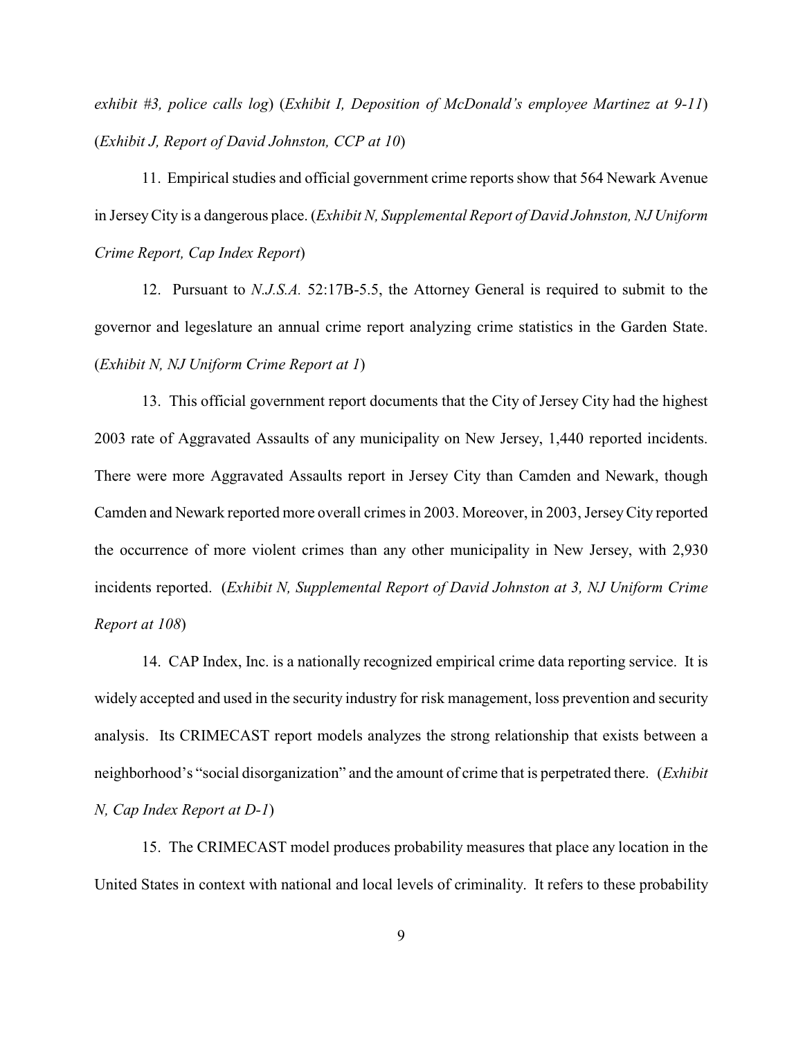*exhibit #3, police calls log*) (*Exhibit I, Deposition of McDonald's employee Martinez at 9-11*) (*Exhibit J, Report of David Johnston, CCP at 10*)

11. Empirical studies and official government crime reports show that 564 Newark Avenue in Jersey City is a dangerous place. (*Exhibit N, Supplemental Report of David Johnston, NJ Uniform Crime Report, Cap Index Report*)

12. Pursuant to *N.J.S.A.* 52:17B-5.5, the Attorney General is required to submit to the governor and legeslature an annual crime report analyzing crime statistics in the Garden State. (*Exhibit N, NJ Uniform Crime Report at 1*)

13. This official government report documents that the City of Jersey City had the highest 2003 rate of Aggravated Assaults of any municipality on New Jersey, 1,440 reported incidents. There were more Aggravated Assaults report in Jersey City than Camden and Newark, though Camden and Newark reported more overall crimes in 2003. Moreover, in 2003, Jersey City reported the occurrence of more violent crimes than any other municipality in New Jersey, with 2,930 incidents reported. (*Exhibit N, Supplemental Report of David Johnston at 3, NJ Uniform Crime Report at 108*)

14. CAP Index, Inc. is a nationally recognized empirical crime data reporting service. It is widely accepted and used in the security industry for risk management, loss prevention and security analysis. Its CRIMECAST report models analyzes the strong relationship that exists between a neighborhood's "social disorganization" and the amount of crime that is perpetrated there. (*Exhibit N, Cap Index Report at D-1*)

15. The CRIMECAST model produces probability measures that place any location in the United States in context with national and local levels of criminality. It refers to these probability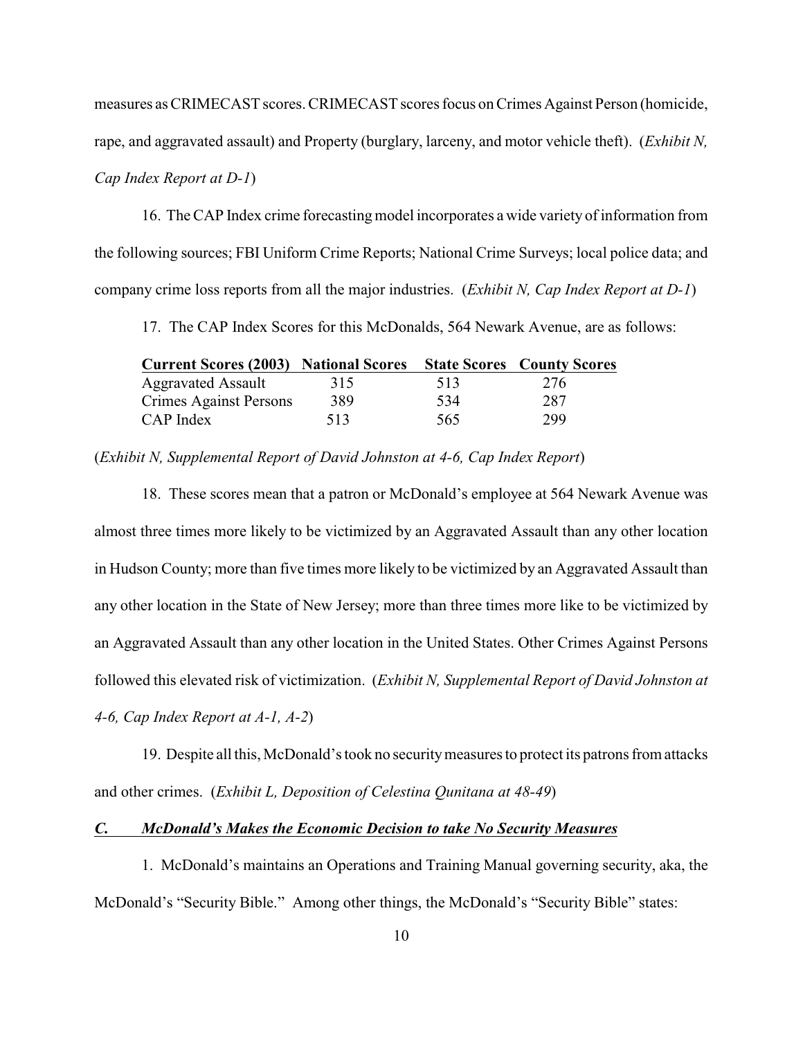measures as CRIMECAST scores. CRIMECAST scores focus on Crimes Against Person (homicide,

rape, and aggravated assault) and Property (burglary, larceny, and motor vehicle theft). (*Exhibit N,*

### *Cap Index Report at D-1*)

16. The CAP Index crime forecasting model incorporates a wide variety of information from the following sources; FBI Uniform Crime Reports; National Crime Surveys; local police data; and company crime loss reports from all the major industries. (*Exhibit N, Cap Index Report at D-1*)

17. The CAP Index Scores for this McDonalds, 564 Newark Avenue, are as follows:

| <b>Current Scores (2003) National Scores</b> |     |     | <b>State Scores County Scores</b> |  |
|----------------------------------------------|-----|-----|-----------------------------------|--|
| <b>Aggravated Assault</b>                    | 315 | 513 | 276                               |  |
| Crimes Against Persons                       | 389 | 534 | 287                               |  |
| CAP Index                                    | 513 | 565 | 299                               |  |

(*Exhibit N, Supplemental Report of David Johnston at 4-6, Cap Index Report*)

18. These scores mean that a patron or McDonald's employee at 564 Newark Avenue was almost three times more likely to be victimized by an Aggravated Assault than any other location in Hudson County; more than five times more likely to be victimized by an Aggravated Assault than any other location in the State of New Jersey; more than three times more like to be victimized by an Aggravated Assault than any other location in the United States. Other Crimes Against Persons followed this elevated risk of victimization. (*Exhibit N, Supplemental Report of David Johnston at 4-6, Cap Index Report at A-1, A-2*)

19. Despite all this, McDonald's took no security measures to protect its patrons from attacks and other crimes. (*Exhibit L, Deposition of Celestina Qunitana at 48-49*)

#### *C. McDonald's Makes the Economic Decision to take No Security Measures*

1. McDonald's maintains an Operations and Training Manual governing security, aka, the McDonald's "Security Bible." Among other things, the McDonald's "Security Bible" states: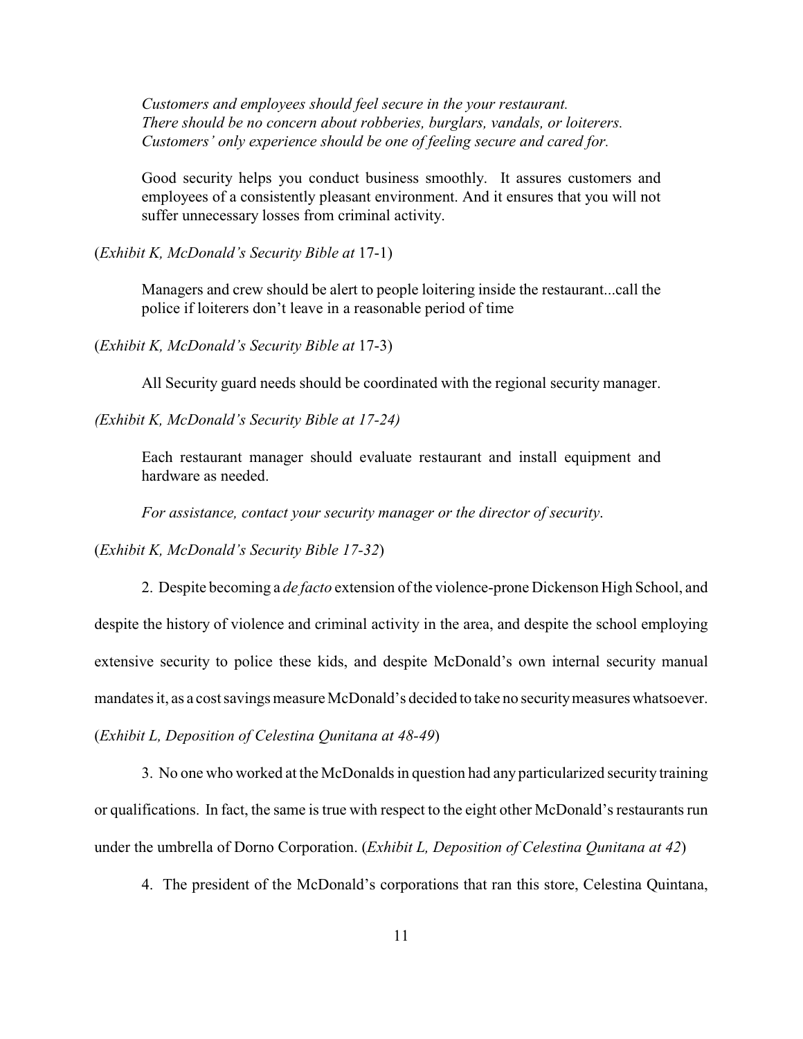*Customers and employees should feel secure in the your restaurant. There should be no concern about robberies, burglars, vandals, or loiterers. Customers' only experience should be one of feeling secure and cared for.*

Good security helps you conduct business smoothly. It assures customers and employees of a consistently pleasant environment. And it ensures that you will not suffer unnecessary losses from criminal activity.

(*Exhibit K, McDonald's Security Bible at* 17-1)

Managers and crew should be alert to people loitering inside the restaurant...call the police if loiterers don't leave in a reasonable period of time

(*Exhibit K, McDonald's Security Bible at* 17-3)

All Security guard needs should be coordinated with the regional security manager.

*(Exhibit K, McDonald's Security Bible at 17-24)*

Each restaurant manager should evaluate restaurant and install equipment and hardware as needed.

*For assistance, contact your security manager or the director of security*.

(*Exhibit K, McDonald's Security Bible 17-32*)

2. Despite becoming a *de facto* extension of the violence-prone Dickenson High School, and despite the history of violence and criminal activity in the area, and despite the school employing extensive security to police these kids, and despite McDonald's own internal security manual mandates it, as a cost savings measure McDonald's decided to take no security measures whatsoever. (*Exhibit L, Deposition of Celestina Qunitana at 48-49*)

3. No one who worked at the McDonalds in question had any particularized security training or qualifications. In fact, the same is true with respect to the eight other McDonald's restaurants run under the umbrella of Dorno Corporation. (*Exhibit L, Deposition of Celestina Qunitana at 42*)

4. The president of the McDonald's corporations that ran this store, Celestina Quintana,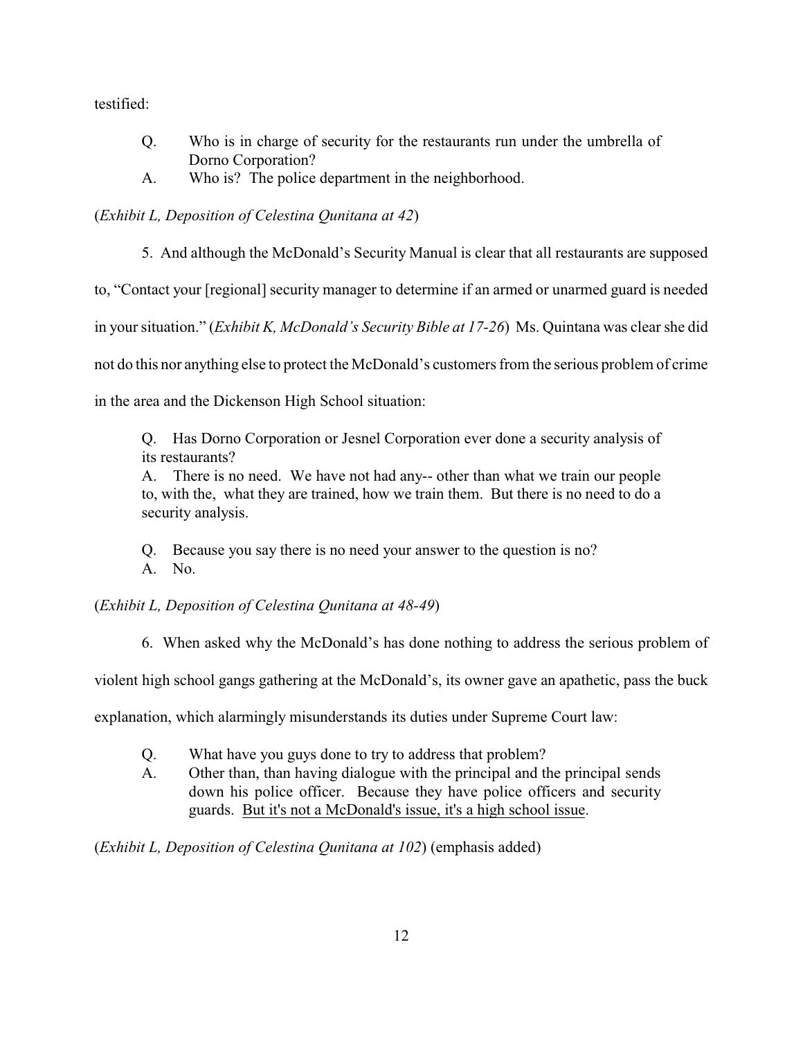testified:

- Q. Who is in charge of security for the restaurants run under the umbrella of Dorno Corporation?
- A. Who is? The police department in the neighborhood.

## (*Exhibit L, Deposition of Celestina Qunitana at 42*)

5. And although the McDonald's Security Manual is clear that all restaurants are supposed

to, "Contact your [regional] security manager to determine if an armed or unarmed guard is needed

in your situation." (*Exhibit K, McDonald's Security Bible at 17-26*) Ms. Quintana was clear she did

not do this nor anything else to protect the McDonald's customers from the serious problem of crime

in the area and the Dickenson High School situation:

Q. Has Dorno Corporation or Jesnel Corporation ever done a security analysis of its restaurants?

A. There is no need. We have not had any-- other than what we train our people to, with the, what they are trained, how we train them. But there is no need to do a security analysis.

Q. Because you say there is no need your answer to the question is no? A. No.

(*Exhibit L, Deposition of Celestina Qunitana at 48-49*)

6. When asked why the McDonald's has done nothing to address the serious problem of

violent high school gangs gathering at the McDonald's, its owner gave an apathetic, pass the buck

explanation, which alarmingly misunderstands its duties under Supreme Court law:

- Q. What have you guys done to try to address that problem?
- A. Other than, than having dialogue with the principal and the principal sends down his police officer. Because they have police officers and security guards. But it's not a McDonald's issue, it's a high school issue.

(*Exhibit L, Deposition of Celestina Qunitana at 102*) (emphasis added)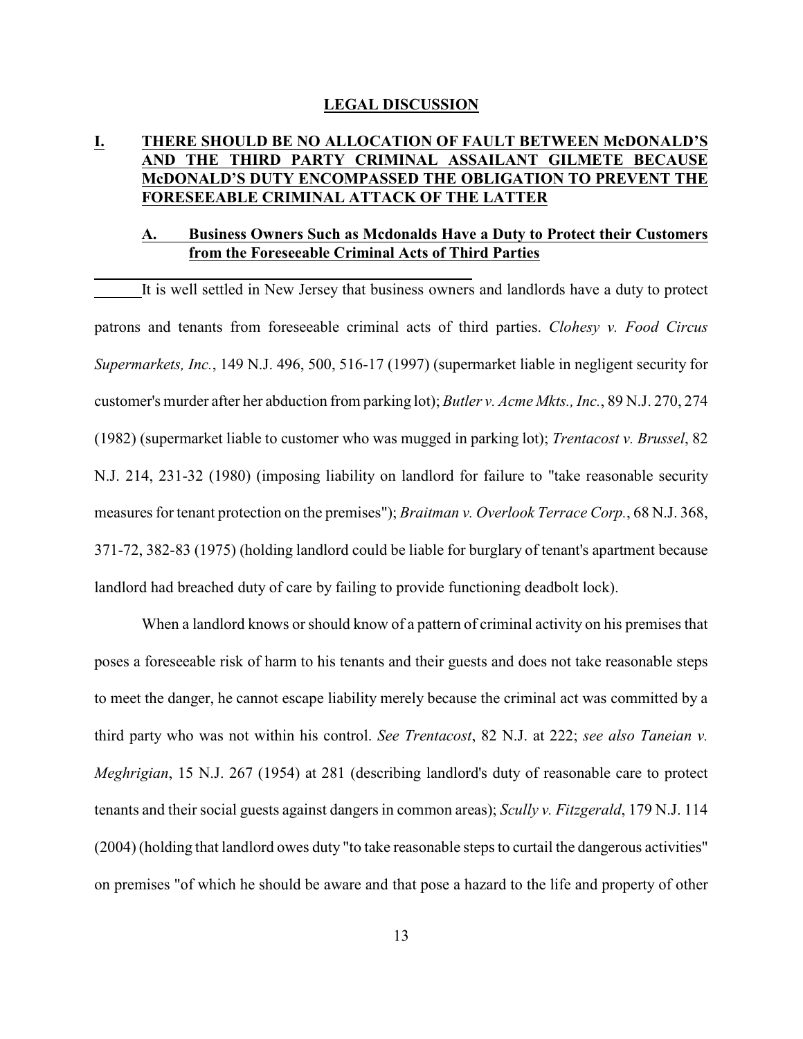#### **LEGAL DISCUSSION**

## **I. THERE SHOULD BE NO ALLOCATION OF FAULT BETWEEN McDONALD'S AND THE THIRD PARTY CRIMINAL ASSAILANT GILMETE BECAUSE McDONALD'S DUTY ENCOMPASSED THE OBLIGATION TO PREVENT THE FORESEEABLE CRIMINAL ATTACK OF THE LATTER**

### **A. Business Owners Such as Mcdonalds Have a Duty to Protect their Customers from the Foreseeable Criminal Acts of Third Parties**

It is well settled in New Jersey that business owners and landlords have a duty to protect patrons and tenants from foreseeable criminal acts of third parties. *Clohesy v. Food Circus Supermarkets, Inc.*, 149 N.J. 496, 500, 516-17 (1997) (supermarket liable in negligent security for customer's murder after her abduction from parking lot); *Butler v. Acme Mkts., Inc.*, 89 N.J. 270, 274 (1982) (supermarket liable to customer who was mugged in parking lot); *Trentacost v. Brussel*, 82 N.J. 214, 231-32 (1980) (imposing liability on landlord for failure to "take reasonable security measures for tenant protection on the premises"); *Braitman v. Overlook Terrace Corp.*, 68 N.J. 368, 371-72, 382-83 (1975) (holding landlord could be liable for burglary of tenant's apartment because landlord had breached duty of care by failing to provide functioning deadbolt lock).

When a landlord knows or should know of a pattern of criminal activity on his premises that poses a foreseeable risk of harm to his tenants and their guests and does not take reasonable steps to meet the danger, he cannot escape liability merely because the criminal act was committed by a third party who was not within his control. *See Trentacost*, 82 N.J. at 222; *see also Taneian v. Meghrigian*, 15 N.J. 267 (1954) at 281 (describing landlord's duty of reasonable care to protect tenants and their social guests against dangers in common areas); *Scully v. Fitzgerald*, 179 N.J. 114 (2004) (holding that landlord owes duty "to take reasonable steps to curtail the dangerous activities" on premises "of which he should be aware and that pose a hazard to the life and property of other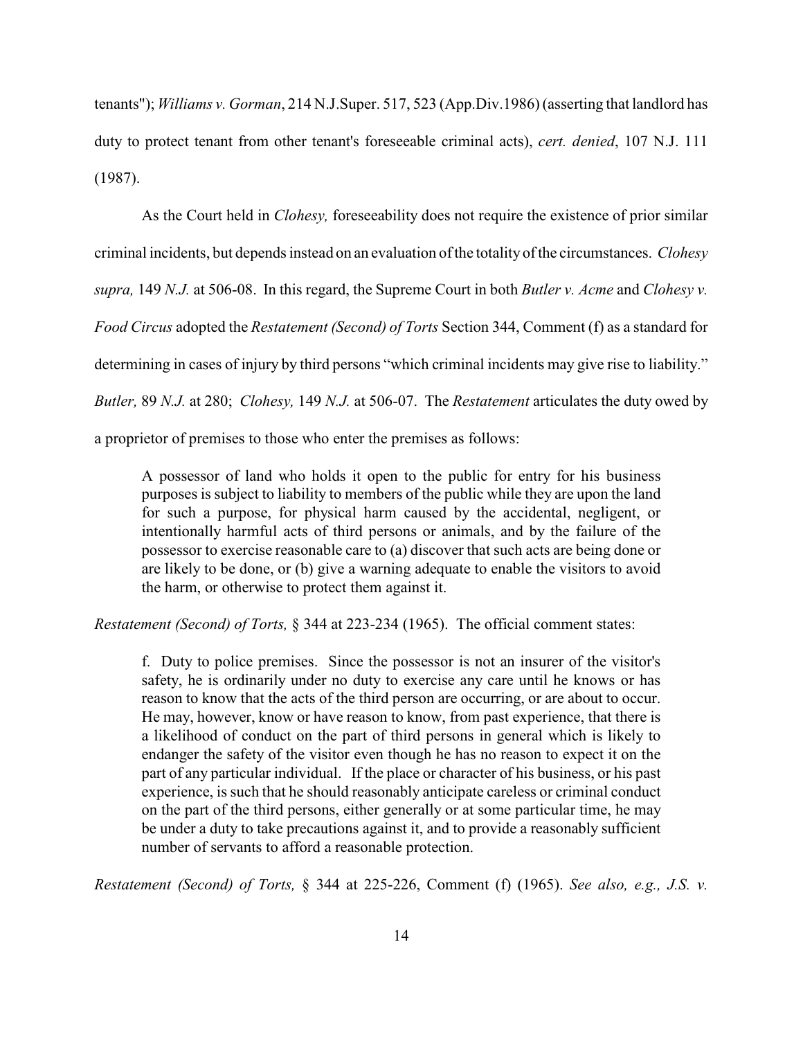tenants"); *Williams v. Gorman*, 214 N.J.Super. 517, 523 (App.Div.1986) (asserting that landlord has duty to protect tenant from other tenant's foreseeable criminal acts), *cert. denied*, 107 N.J. 111 (1987).

As the Court held in *Clohesy,* foreseeability does not require the existence of prior similar criminal incidents, but depends instead on an evaluation ofthe totality of the circumstances. *Clohesy supra,* 149 *N.J.* at 506-08. In this regard, the Supreme Court in both *Butler v. Acme* and *Clohesy v. Food Circus* adopted the *Restatement (Second) of Torts* Section 344, Comment (f) as a standard for determining in cases of injury by third persons "which criminal incidents may give rise to liability." *Butler,* 89 *N.J.* at 280; *Clohesy,* 149 *N.J.* at 506-07. The *Restatement* articulates the duty owed by

a proprietor of premises to those who enter the premises as follows:

A possessor of land who holds it open to the public for entry for his business purposes is subject to liability to members of the public while they are upon the land for such a purpose, for physical harm caused by the accidental, negligent, or intentionally harmful acts of third persons or animals, and by the failure of the possessor to exercise reasonable care to (a) discover that such acts are being done or are likely to be done, or (b) give a warning adequate to enable the visitors to avoid the harm, or otherwise to protect them against it.

*Restatement (Second) of Torts,* § 344 at 223-234 (1965). The official comment states:

f. Duty to police premises. Since the possessor is not an insurer of the visitor's safety, he is ordinarily under no duty to exercise any care until he knows or has reason to know that the acts of the third person are occurring, or are about to occur. He may, however, know or have reason to know, from past experience, that there is a likelihood of conduct on the part of third persons in general which is likely to endanger the safety of the visitor even though he has no reason to expect it on the part of any particular individual. If the place or character of his business, or his past experience, is such that he should reasonably anticipate careless or criminal conduct on the part of the third persons, either generally or at some particular time, he may be under a duty to take precautions against it, and to provide a reasonably sufficient number of servants to afford a reasonable protection.

*Restatement (Second) of Torts,* § 344 at 225-226, Comment (f) (1965). *See also, e.g., J.S. v.*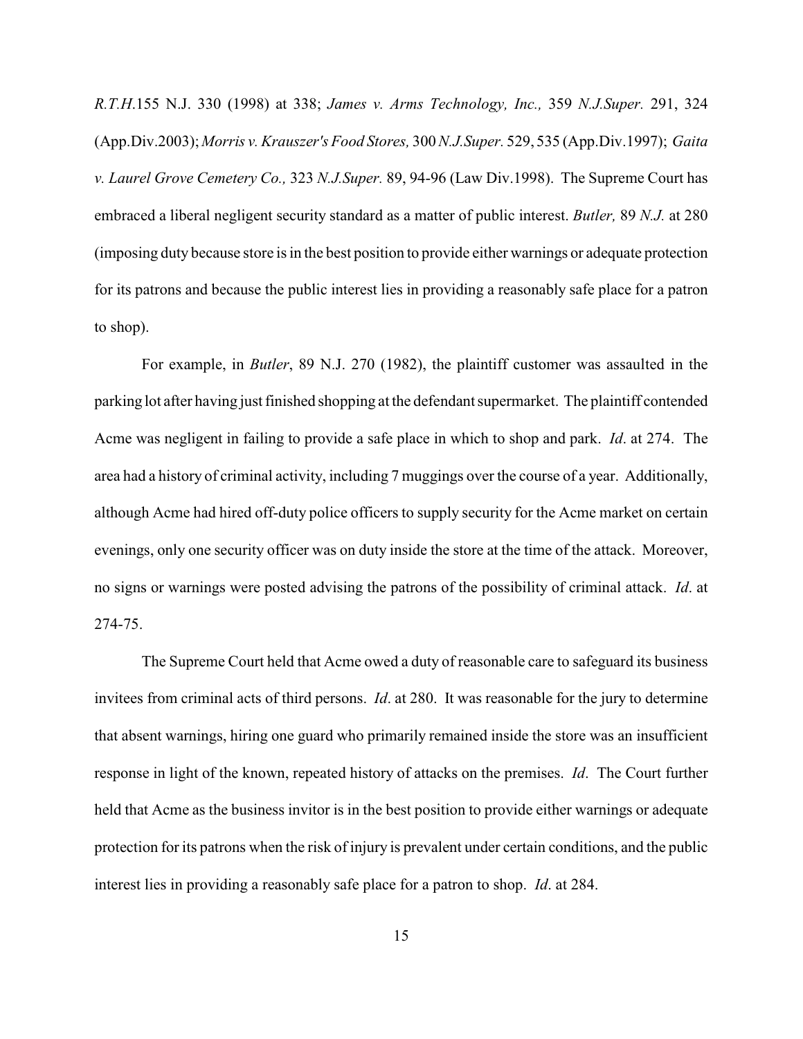*R.T.H*.155 N.J. 330 (1998) at 338; *James v. Arms Technology, Inc.,* 359 *N.J.Super.* 291, 324 (App.Div.2003); *Morris v. Krauszer's Food Stores,* 300 *N.J.Super.* 529, 535 (App.Div.1997); *Gaita v. Laurel Grove Cemetery Co.,* 323 *N.J.Super.* 89, 94-96 (Law Div.1998). The Supreme Court has embraced a liberal negligent security standard as a matter of public interest. *Butler,* 89 *N.J.* at 280 (imposing duty because store is in the best position to provide either warnings or adequate protection for its patrons and because the public interest lies in providing a reasonably safe place for a patron to shop).

For example, in *Butler*, 89 N.J. 270 (1982), the plaintiff customer was assaulted in the parking lot after having just finished shopping at the defendant supermarket. The plaintiff contended Acme was negligent in failing to provide a safe place in which to shop and park. *Id*. at 274. The area had a history of criminal activity, including 7 muggings over the course of a year. Additionally, although Acme had hired off-duty police officers to supply security for the Acme market on certain evenings, only one security officer was on duty inside the store at the time of the attack. Moreover, no signs or warnings were posted advising the patrons of the possibility of criminal attack. *Id*. at 274-75.

The Supreme Court held that Acme owed a duty of reasonable care to safeguard its business invitees from criminal acts of third persons. *Id*. at 280. It was reasonable for the jury to determine that absent warnings, hiring one guard who primarily remained inside the store was an insufficient response in light of the known, repeated history of attacks on the premises. *Id*. The Court further held that Acme as the business invitor is in the best position to provide either warnings or adequate protection for its patrons when the risk of injury is prevalent under certain conditions, and the public interest lies in providing a reasonably safe place for a patron to shop. *Id*. at 284.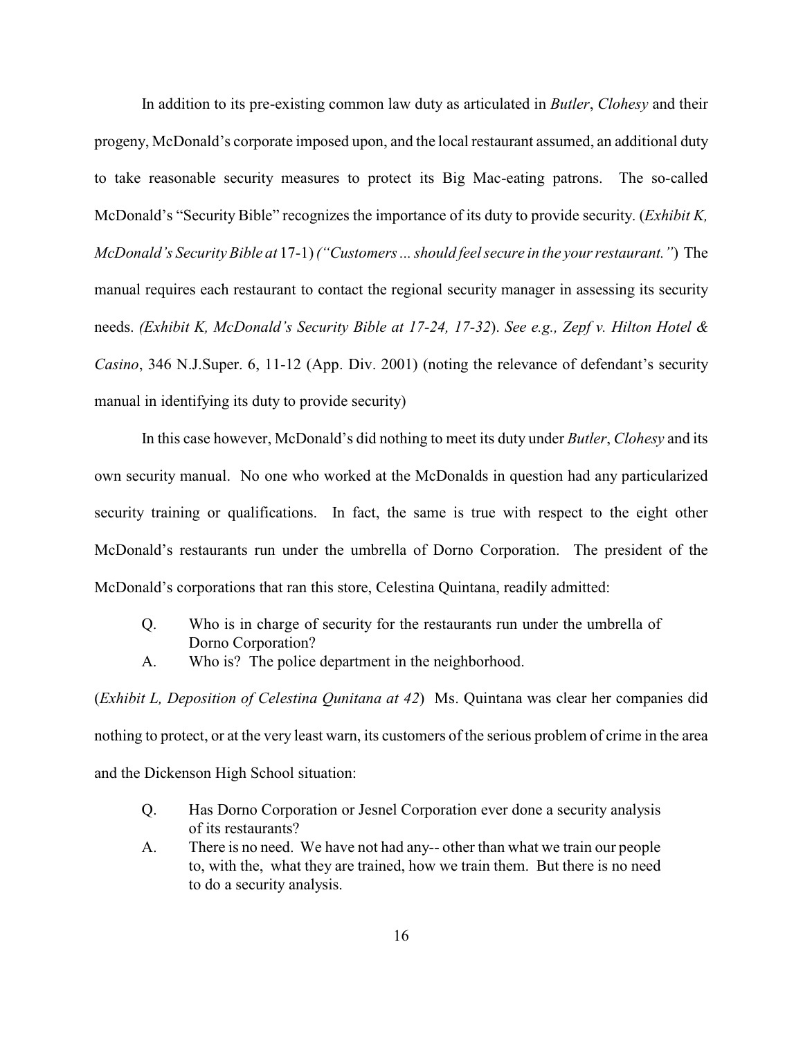In addition to its pre-existing common law duty as articulated in *Butler*, *Clohesy* and their progeny, McDonald's corporate imposed upon, and the local restaurant assumed, an additional duty to take reasonable security measures to protect its Big Mac-eating patrons. The so-called McDonald's "Security Bible" recognizes the importance of its duty to provide security. (*Exhibit K, McDonald's Security Bible at* 17-1) *("Customers ... should feel secure in the your restaurant."*) The manual requires each restaurant to contact the regional security manager in assessing its security needs. *(Exhibit K, McDonald's Security Bible at 17-24, 17-32*). *See e.g., Zepf v. Hilton Hotel & Casino*, 346 N.J.Super. 6, 11-12 (App. Div. 2001) (noting the relevance of defendant's security manual in identifying its duty to provide security)

In this case however, McDonald's did nothing to meet its duty under *Butler*, *Clohesy* and its own security manual. No one who worked at the McDonalds in question had any particularized security training or qualifications. In fact, the same is true with respect to the eight other McDonald's restaurants run under the umbrella of Dorno Corporation. The president of the McDonald's corporations that ran this store, Celestina Quintana, readily admitted:

- Q. Who is in charge of security for the restaurants run under the umbrella of Dorno Corporation?
- A. Who is? The police department in the neighborhood.

(*Exhibit L, Deposition of Celestina Qunitana at 42*) Ms. Quintana was clear her companies did nothing to protect, or at the very least warn, its customers of the serious problem of crime in the area and the Dickenson High School situation:

- Q. Has Dorno Corporation or Jesnel Corporation ever done a security analysis of its restaurants?
- A. There is no need. We have not had any-- other than what we train our people to, with the, what they are trained, how we train them. But there is no need to do a security analysis.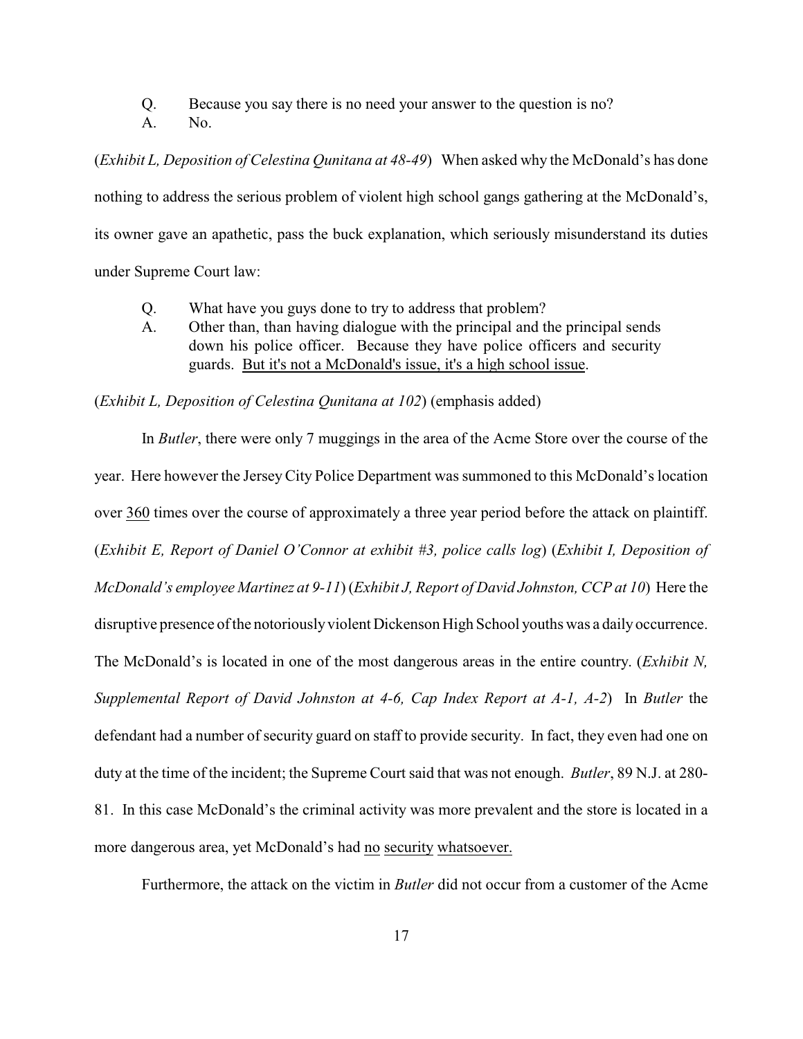Q. Because you say there is no need your answer to the question is no?

A. No.

(*Exhibit L, Deposition of Celestina Qunitana at 48-49*) When asked why the McDonald's has done nothing to address the serious problem of violent high school gangs gathering at the McDonald's, its owner gave an apathetic, pass the buck explanation, which seriously misunderstand its duties under Supreme Court law:

- Q. What have you guys done to try to address that problem?
- A. Other than, than having dialogue with the principal and the principal sends down his police officer. Because they have police officers and security guards. But it's not a McDonald's issue, it's a high school issue.

(*Exhibit L, Deposition of Celestina Qunitana at 102*) (emphasis added)

In *Butler*, there were only 7 muggings in the area of the Acme Store over the course of the year. Here however the JerseyCity Police Department was summoned to this McDonald's location over 360 times over the course of approximately a three year period before the attack on plaintiff. (*Exhibit E, Report of Daniel O'Connor at exhibit #3, police calls log*) (*Exhibit I, Deposition of McDonald's employee Martinez at 9-11*) (*Exhibit J, Report of David Johnston, CCP at 10*) Here the disruptive presence of the notoriously violent Dickenson High School youths was a daily occurrence. The McDonald's is located in one of the most dangerous areas in the entire country. (*Exhibit N, Supplemental Report of David Johnston at 4-6, Cap Index Report at A-1, A-2*) In *Butler* the defendant had a number of security guard on staff to provide security. In fact, they even had one on duty at the time of the incident; the Supreme Court said that was not enough. *Butler*, 89 N.J. at 280- 81. In this case McDonald's the criminal activity was more prevalent and the store is located in a more dangerous area, yet McDonald's had no security whatsoever.

Furthermore, the attack on the victim in *Butler* did not occur from a customer of the Acme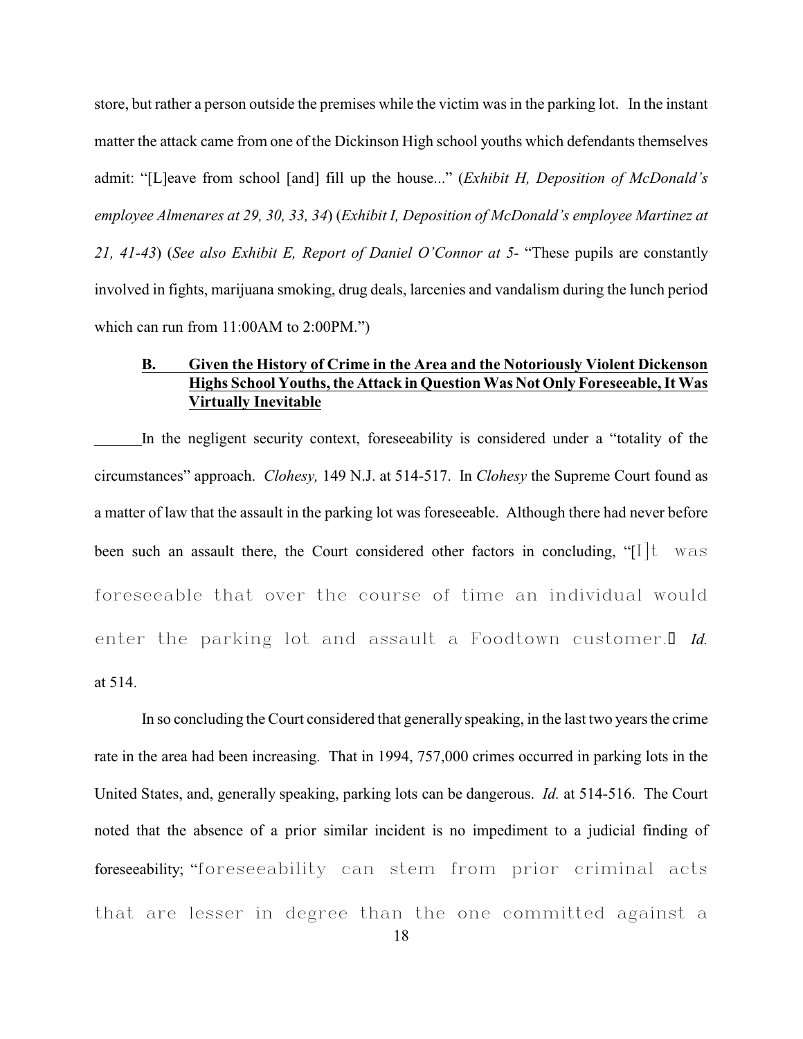store, but rather a person outside the premises while the victim was in the parking lot. In the instant matter the attack came from one of the Dickinson High school youths which defendants themselves admit: "[L]eave from school [and] fill up the house..." (*Exhibit H, Deposition of McDonald's employee Almenares at 29, 30, 33, 34*) (*Exhibit I, Deposition of McDonald's employee Martinez at 21, 41-43*) (*See also Exhibit E, Report of Daniel O'Connor at 5-* "These pupils are constantly involved in fights, marijuana smoking, drug deals, larcenies and vandalism during the lunch period which can run from 11:00AM to 2:00PM.")

### **B. Given the History of Crime in the Area and the Notoriously Violent Dickenson Highs School Youths, the Attack in Question Was Not Only Foreseeable, It Was Virtually Inevitable**

In the negligent security context, foreseeability is considered under a "totality of the circumstances" approach. *Clohesy,* 149 N.J. at 514-517. In *Clohesy* the Supreme Court found as a matter of law that the assault in the parking lot was foreseeable. Although there had never before been such an assault there, the Court considered other factors in concluding, " $\left[1 \right]$ t was foreseeable that over the course of time an individual would enter the parking lot and assault a Foodtown customer.<sup>I Id.</sup> at 514.

In so concluding the Court considered that generally speaking, in the last two years the crime rate in the area had been increasing. That in 1994, 757,000 crimes occurred in parking lots in the United States, and, generally speaking, parking lots can be dangerous. *Id.* at 514-516. The Court noted that the absence of a prior similar incident is no impediment to a judicial finding of foreseeability; "foreseeability can stem from prior criminal acts that are lesser in degree than the one committed against a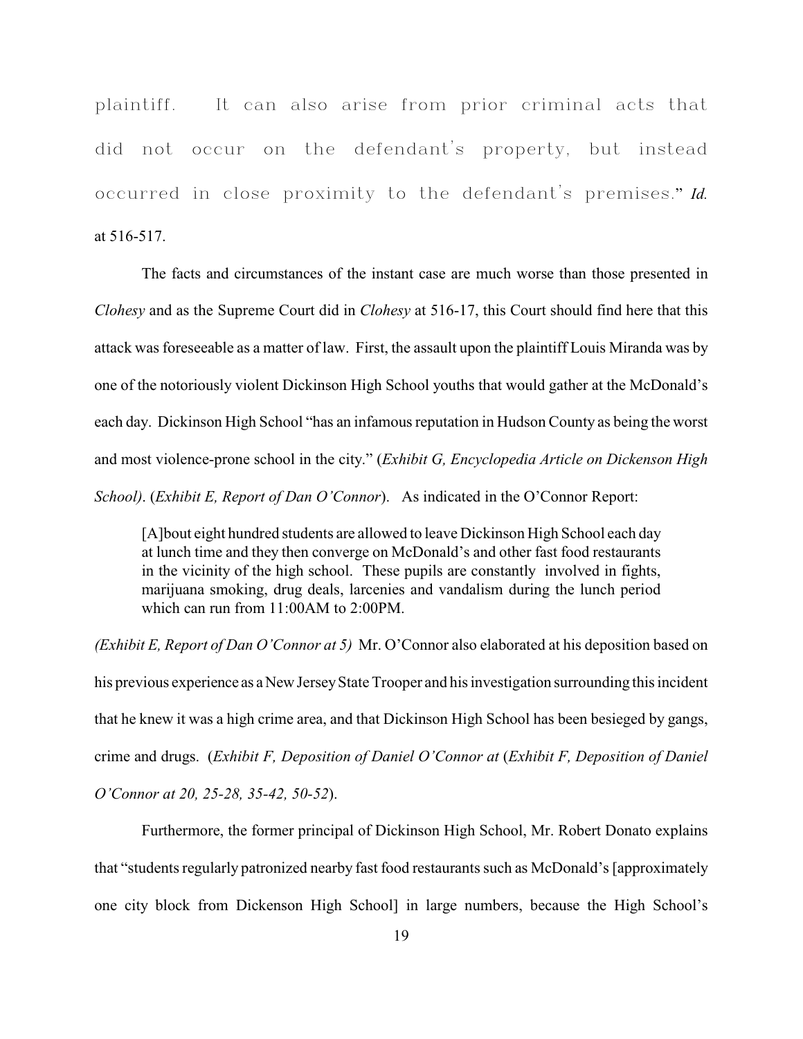plaintiff. It can also arise from prior criminal acts that did not occur on the defendant's property, but instead occurred in close proximity to the defendant's premises." *Id.* at 516-517.

The facts and circumstances of the instant case are much worse than those presented in *Clohesy* and as the Supreme Court did in *Clohesy* at 516-17, this Court should find here that this attack was foreseeable as a matter of law. First, the assault upon the plaintiff Louis Miranda was by one of the notoriously violent Dickinson High School youths that would gather at the McDonald's each day. Dickinson High School "has an infamous reputation in Hudson County as being the worst and most violence-prone school in the city." (*Exhibit G, Encyclopedia Article on Dickenson High School)*. (*Exhibit E, Report of Dan O'Connor*). As indicated in the O'Connor Report:

[A]bout eight hundred students are allowed to leave Dickinson High School each day at lunch time and they then converge on McDonald's and other fast food restaurants in the vicinity of the high school. These pupils are constantly involved in fights, marijuana smoking, drug deals, larcenies and vandalism during the lunch period which can run from 11:00AM to 2:00PM.

*(Exhibit E, Report of Dan O'Connor at 5)* Mr. O'Connor also elaborated at his deposition based on his previous experience as a New Jersey State Trooper and his investigation surrounding this incident that he knew it was a high crime area, and that Dickinson High School has been besieged by gangs, crime and drugs. (*Exhibit F, Deposition of Daniel O'Connor at* (*Exhibit F, Deposition of Daniel O'Connor at 20, 25-28, 35-42, 50-52*).

Furthermore, the former principal of Dickinson High School, Mr. Robert Donato explains that "students regularly patronized nearby fast food restaurants such as McDonald's [approximately one city block from Dickenson High School] in large numbers, because the High School's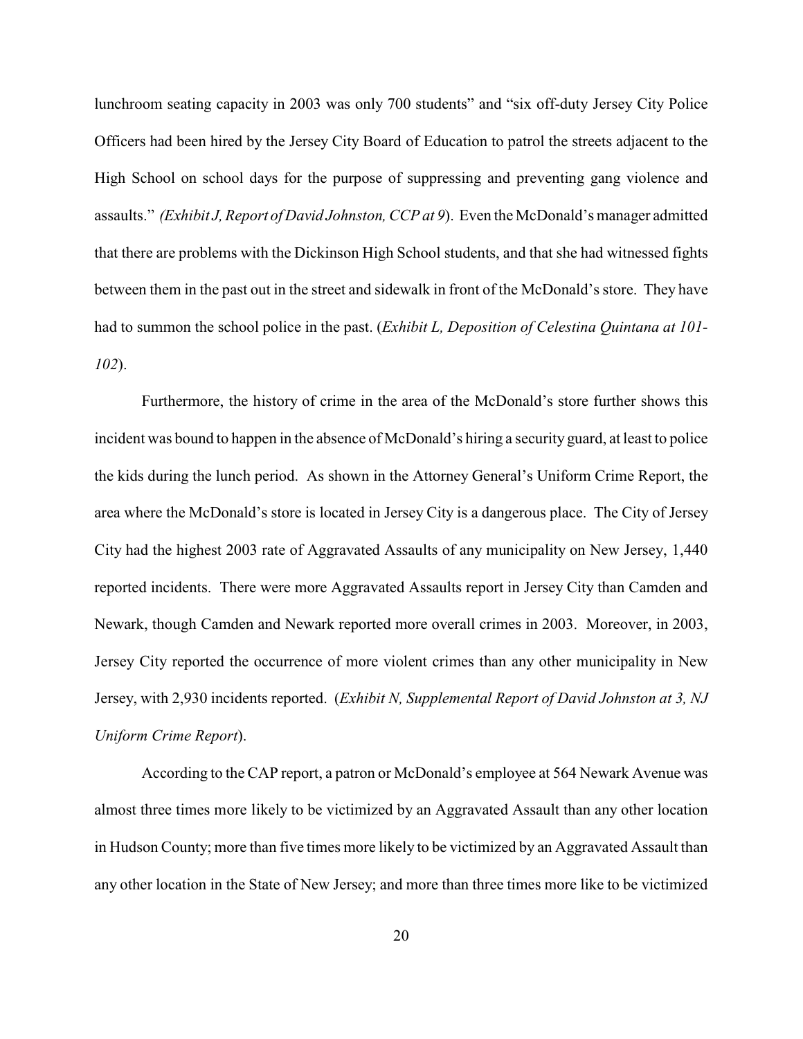lunchroom seating capacity in 2003 was only 700 students" and "six off-duty Jersey City Police Officers had been hired by the Jersey City Board of Education to patrol the streets adjacent to the High School on school days for the purpose of suppressing and preventing gang violence and assaults." *(Exhibit J, Report of David Johnston, CCP at 9*). Even the McDonald's manager admitted that there are problems with the Dickinson High School students, and that she had witnessed fights between them in the past out in the street and sidewalk in front of the McDonald's store. They have had to summon the school police in the past. (*Exhibit L, Deposition of Celestina Quintana at 101- 102*).

Furthermore, the history of crime in the area of the McDonald's store further shows this incident was bound to happen in the absence of McDonald's hiring a security guard, at least to police the kids during the lunch period. As shown in the Attorney General's Uniform Crime Report, the area where the McDonald's store is located in Jersey City is a dangerous place. The City of Jersey City had the highest 2003 rate of Aggravated Assaults of any municipality on New Jersey, 1,440 reported incidents. There were more Aggravated Assaults report in Jersey City than Camden and Newark, though Camden and Newark reported more overall crimes in 2003. Moreover, in 2003, Jersey City reported the occurrence of more violent crimes than any other municipality in New Jersey, with 2,930 incidents reported. (*Exhibit N, Supplemental Report of David Johnston at 3, NJ Uniform Crime Report*).

According to the CAP report, a patron or McDonald's employee at 564 Newark Avenue was almost three times more likely to be victimized by an Aggravated Assault than any other location in Hudson County; more than five times more likely to be victimized by an Aggravated Assault than any other location in the State of New Jersey; and more than three times more like to be victimized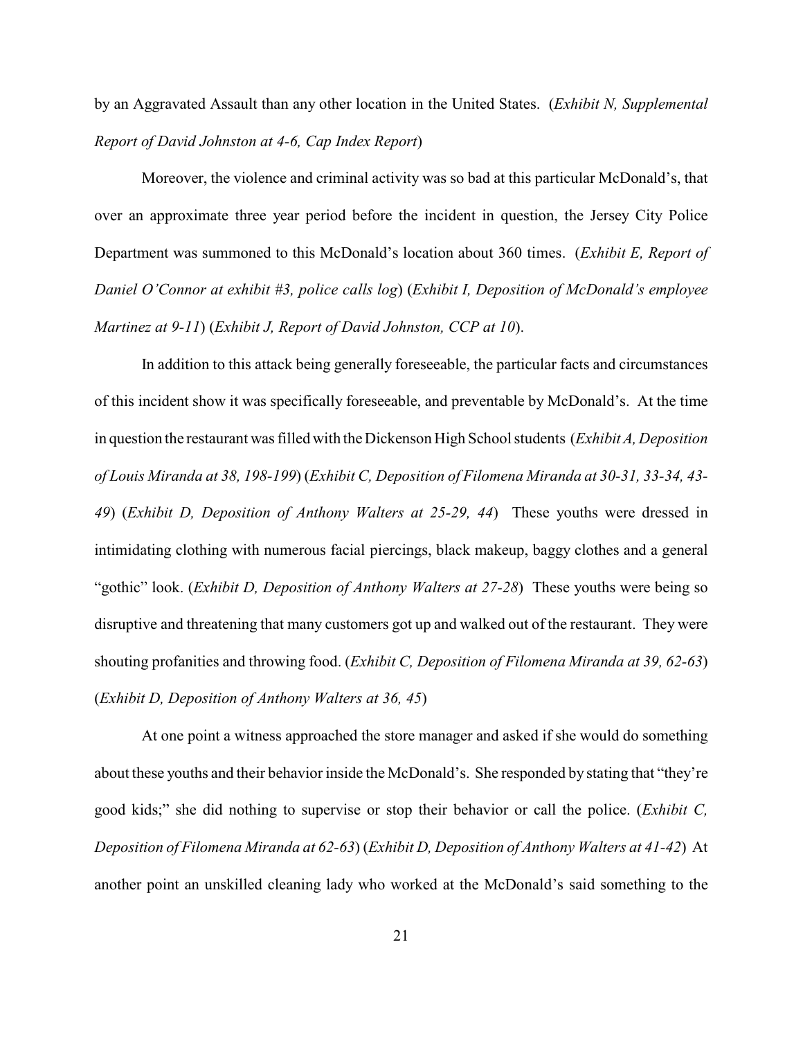by an Aggravated Assault than any other location in the United States. (*Exhibit N, Supplemental Report of David Johnston at 4-6, Cap Index Report*)

Moreover, the violence and criminal activity was so bad at this particular McDonald's, that over an approximate three year period before the incident in question, the Jersey City Police Department was summoned to this McDonald's location about 360 times. (*Exhibit E, Report of Daniel O'Connor at exhibit #3, police calls log*) (*Exhibit I, Deposition of McDonald's employee Martinez at 9-11*) (*Exhibit J, Report of David Johnston, CCP at 10*).

In addition to this attack being generally foreseeable, the particular facts and circumstances of this incident show it was specifically foreseeable, and preventable by McDonald's. At the time in question the restaurant was filled with the Dickenson High School students (*Exhibit A, Deposition of Louis Miranda at 38, 198-199*) (*Exhibit C, Deposition of Filomena Miranda at 30-31, 33-34, 43- 49*) (*Exhibit D, Deposition of Anthony Walters at 25-29, 44*) These youths were dressed in intimidating clothing with numerous facial piercings, black makeup, baggy clothes and a general "gothic" look. (*Exhibit D, Deposition of Anthony Walters at 27-28*) These youths were being so disruptive and threatening that many customers got up and walked out of the restaurant. They were shouting profanities and throwing food. (*Exhibit C, Deposition of Filomena Miranda at 39, 62-63*) (*Exhibit D, Deposition of Anthony Walters at 36, 45*)

At one point a witness approached the store manager and asked if she would do something about these youths and their behavior inside the McDonald's. She responded by stating that "they're good kids;" she did nothing to supervise or stop their behavior or call the police. (*Exhibit C, Deposition of Filomena Miranda at 62-63*) (*Exhibit D, Deposition of Anthony Walters at 41-42*) At another point an unskilled cleaning lady who worked at the McDonald's said something to the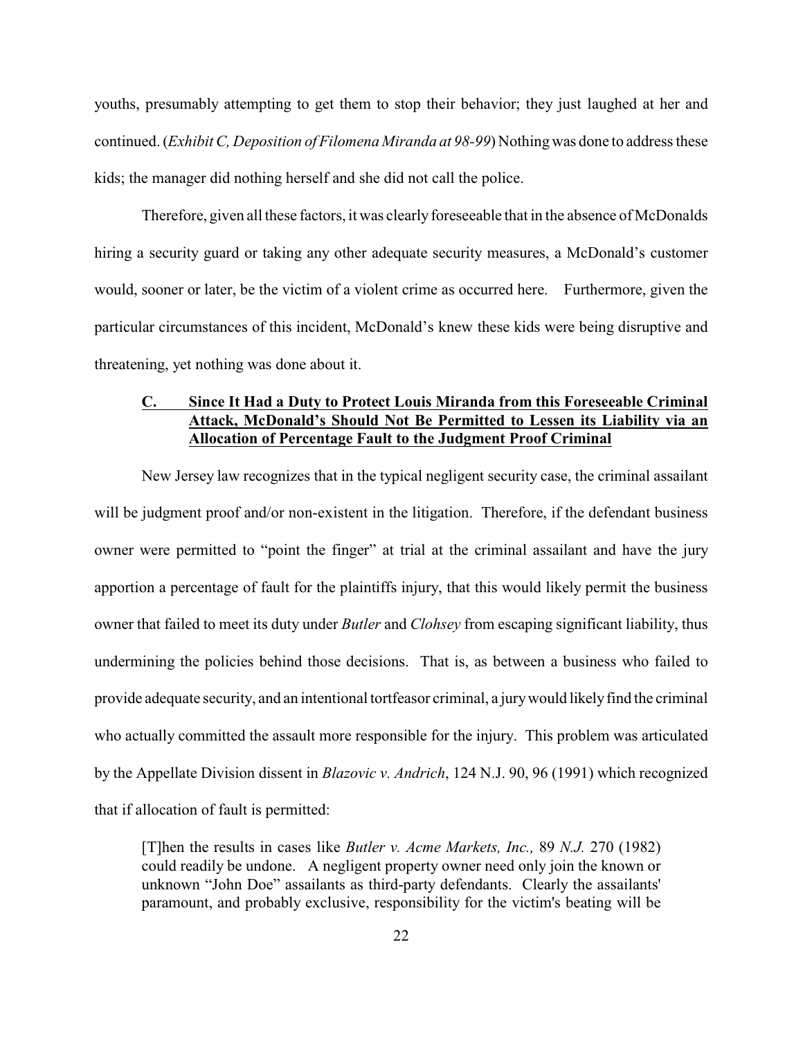youths, presumably attempting to get them to stop their behavior; they just laughed at her and continued. (*Exhibit C, Deposition of Filomena Miranda at 98-99*) Nothingwas done to address these kids; the manager did nothing herself and she did not call the police.

Therefore, given all these factors, it was clearly fore seeable that in the absence of McDonalds hiring a security guard or taking any other adequate security measures, a McDonald's customer would, sooner or later, be the victim of a violent crime as occurred here. Furthermore, given the particular circumstances of this incident, McDonald's knew these kids were being disruptive and threatening, yet nothing was done about it.

## **C. Since It Had a Duty to Protect Louis Miranda from this Foreseeable Criminal Attack, McDonald's Should Not Be Permitted to Lessen its Liability via an Allocation of Percentage Fault to the Judgment Proof Criminal**

New Jersey law recognizes that in the typical negligent security case, the criminal assailant will be judgment proof and/or non-existent in the litigation. Therefore, if the defendant business owner were permitted to "point the finger" at trial at the criminal assailant and have the jury apportion a percentage of fault for the plaintiffs injury, that this would likely permit the business owner that failed to meet its duty under *Butler* and *Clohsey* from escaping significant liability, thus undermining the policies behind those decisions. That is, as between a business who failed to provide adequate security, and an intentional tortfeasor criminal, a jury would likely find the criminal who actually committed the assault more responsible for the injury. This problem was articulated by the Appellate Division dissent in *Blazovic v. Andrich*, 124 N.J. 90, 96 (1991) which recognized that if allocation of fault is permitted:

[T]hen the results in cases like *Butler v. Acme Markets, Inc.,* 89 *N.J.* 270 (1982) could readily be undone. A negligent property owner need only join the known or unknown "John Doe" assailants as third-party defendants. Clearly the assailants' paramount, and probably exclusive, responsibility for the victim's beating will be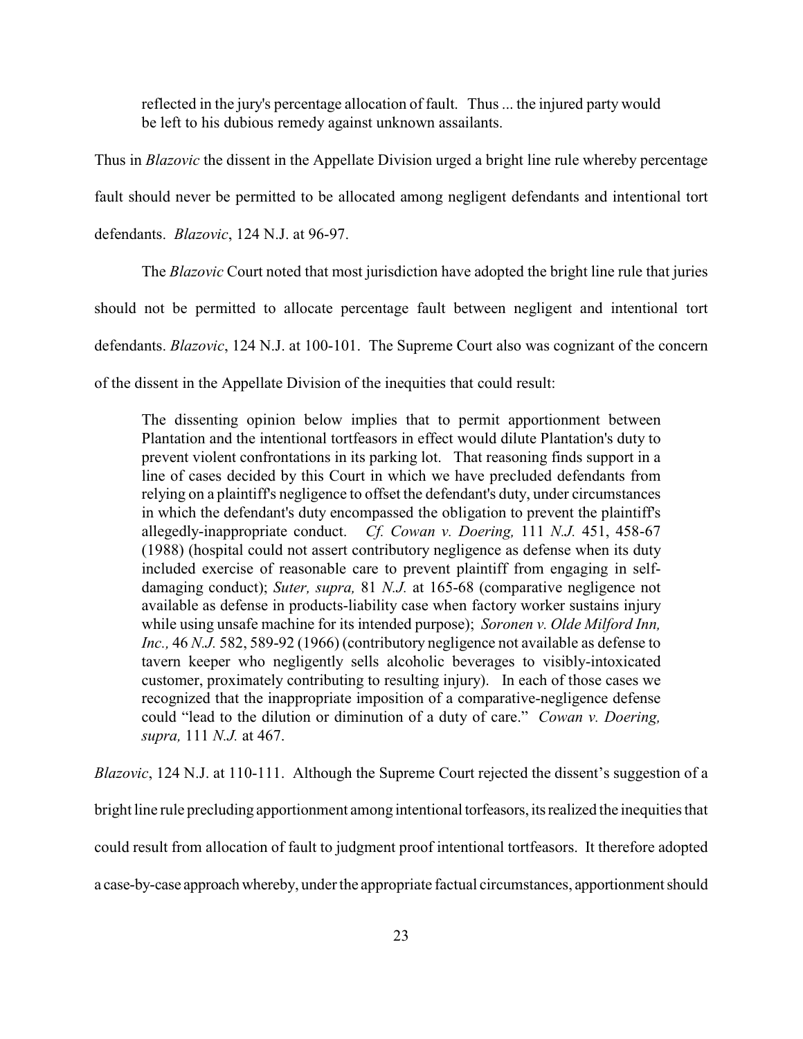reflected in the jury's percentage allocation of fault. Thus... the injured party would be left to his dubious remedy against unknown assailants.

Thus in *Blazovic* the dissent in the Appellate Division urged a bright line rule whereby percentage fault should never be permitted to be allocated among negligent defendants and intentional tort defendants. *Blazovic*, 124 N.J. at 96-97.

The *Blazovic* Court noted that most jurisdiction have adopted the bright line rule that juries should not be permitted to allocate percentage fault between negligent and intentional tort defendants. *Blazovic*, 124 N.J. at 100-101. The Supreme Court also was cognizant of the concern of the dissent in the Appellate Division of the inequities that could result:

The dissenting opinion below implies that to permit apportionment between Plantation and the intentional tortfeasors in effect would dilute Plantation's duty to prevent violent confrontations in its parking lot. That reasoning finds support in a line of cases decided by this Court in which we have precluded defendants from relying on a plaintiff's negligence to offset the defendant's duty, under circumstances in which the defendant's duty encompassed the obligation to prevent the plaintiff's allegedly-inappropriate conduct. *Cf. Cowan v. Doering,* 111 *N.J.* 451, 458-67 (1988) (hospital could not assert contributory negligence as defense when its duty included exercise of reasonable care to prevent plaintiff from engaging in selfdamaging conduct); *Suter, supra,* 81 *N.J.* at 165-68 (comparative negligence not available as defense in products-liability case when factory worker sustains injury while using unsafe machine for its intended purpose); *Soronen v. Olde Milford Inn, Inc.,* 46 *N.J.* 582, 589-92 (1966) (contributory negligence not available as defense to tavern keeper who negligently sells alcoholic beverages to visibly-intoxicated customer, proximately contributing to resulting injury). In each of those cases we recognized that the inappropriate imposition of a comparative-negligence defense could "lead to the dilution or diminution of a duty of care." *Cowan v. Doering, supra,* 111 *N.J.* at 467.

*Blazovic*, 124 N.J. at 110-111. Although the Supreme Court rejected the dissent's suggestion of a bright line rule precluding apportionment among intentional torfeasors, its realized the inequities that could result from allocation of fault to judgment proof intentional tortfeasors. It therefore adopted a case-by-case approach whereby, under the appropriate factual circumstances, apportionment should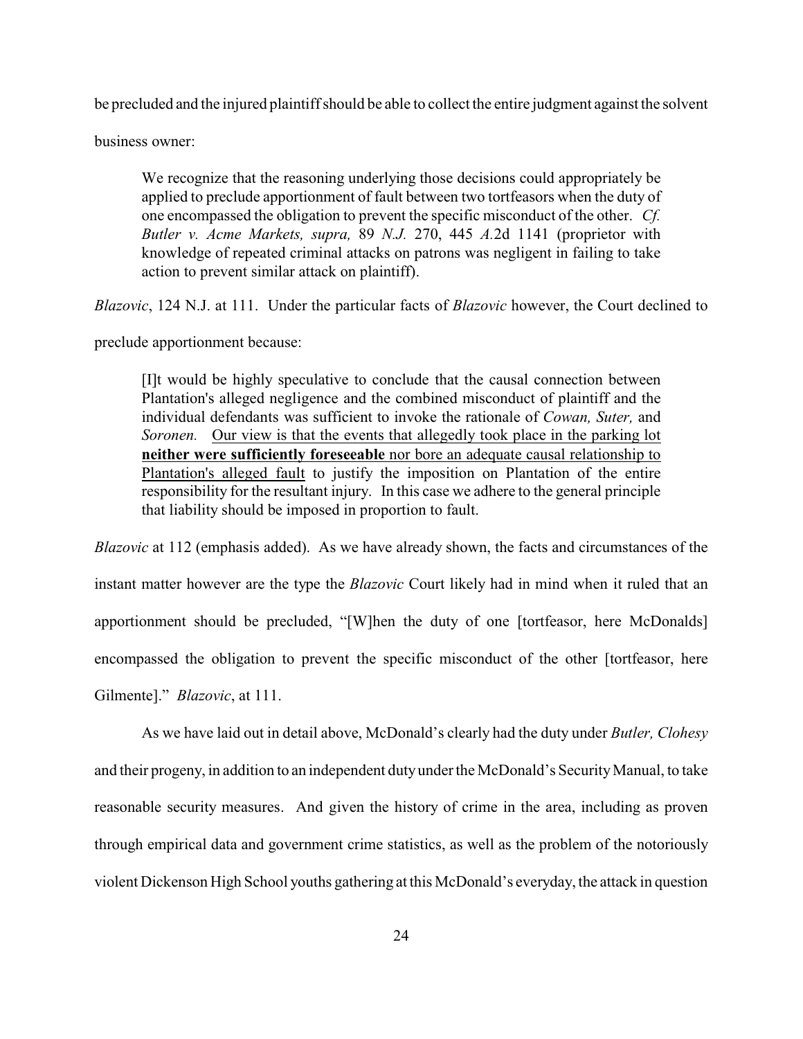be precluded and the injured plaintiff should be able to collect the entire judgment against the solvent

business owner:

We recognize that the reasoning underlying those decisions could appropriately be applied to preclude apportionment of fault between two tortfeasors when the duty of one encompassed the obligation to prevent the specific misconduct of the other. *Cf. Butler v. Acme Markets, supra,* 89 *N.J.* 270, 445 *A.*2d 1141 (proprietor with knowledge of repeated criminal attacks on patrons was negligent in failing to take action to prevent similar attack on plaintiff).

*Blazovic*, 124 N.J. at 111. Under the particular facts of *Blazovic* however, the Court declined to

preclude apportionment because:

[I]t would be highly speculative to conclude that the causal connection between Plantation's alleged negligence and the combined misconduct of plaintiff and the individual defendants was sufficient to invoke the rationale of *Cowan, Suter,* and *Soronen.* Our view is that the events that allegedly took place in the parking lot **neither were sufficiently foreseeable** nor bore an adequate causal relationship to Plantation's alleged fault to justify the imposition on Plantation of the entire responsibility for the resultant injury. In this case we adhere to the general principle that liability should be imposed in proportion to fault.

*Blazovic* at 112 (emphasis added). As we have already shown, the facts and circumstances of the instant matter however are the type the *Blazovic* Court likely had in mind when it ruled that an apportionment should be precluded, "[W]hen the duty of one [tortfeasor, here McDonalds] encompassed the obligation to prevent the specific misconduct of the other [tortfeasor, here Gilmente]." *Blazovic*, at 111.

As we have laid out in detail above, McDonald's clearly had the duty under *Butler, Clohesy* and their progeny, in addition to an independent dutyunder the McDonald's Security Manual, to take reasonable security measures. And given the history of crime in the area, including as proven through empirical data and government crime statistics, as well as the problem of the notoriously violent Dickenson High School youths gathering at this McDonald's everyday, the attack in question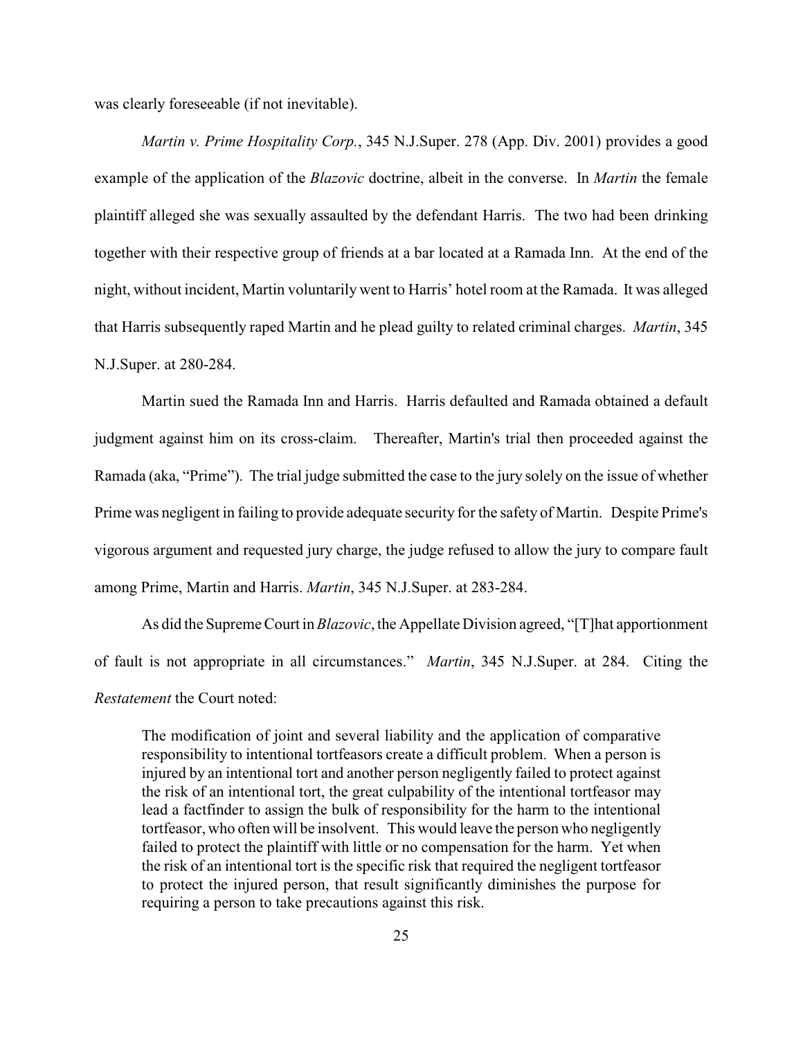was clearly foreseeable (if not inevitable).

*Martin v. Prime Hospitality Corp.*, 345 N.J.Super. 278 (App. Div. 2001) provides a good example of the application of the *Blazovic* doctrine, albeit in the converse. In *Martin* the female plaintiff alleged she was sexually assaulted by the defendant Harris. The two had been drinking together with their respective group of friends at a bar located at a Ramada Inn. At the end of the night, without incident, Martin voluntarily went to Harris' hotel room at the Ramada. It was alleged that Harris subsequently raped Martin and he plead guilty to related criminal charges. *Martin*, 345 N.J.Super. at 280-284.

Martin sued the Ramada Inn and Harris. Harris defaulted and Ramada obtained a default judgment against him on its cross-claim. Thereafter, Martin's trial then proceeded against the Ramada (aka, "Prime"). The trial judge submitted the case to the jury solely on the issue of whether Prime was negligent in failing to provide adequate security for the safety of Martin. Despite Prime's vigorous argument and requested jury charge, the judge refused to allow the jury to compare fault among Prime, Martin and Harris. *Martin*, 345 N.J.Super. at 283-284.

As did the Supreme Court in *Blazovic*, the Appellate Division agreed, "[T]hat apportionment of fault is not appropriate in all circumstances." *Martin*, 345 N.J.Super. at 284. Citing the *Restatement* the Court noted:

The modification of joint and several liability and the application of comparative responsibility to intentional tortfeasors create a difficult problem. When a person is injured by an intentional tort and another person negligently failed to protect against the risk of an intentional tort, the great culpability of the intentional tortfeasor may lead a factfinder to assign the bulk of responsibility for the harm to the intentional tortfeasor, who often will be insolvent. This would leave the person who negligently failed to protect the plaintiff with little or no compensation for the harm. Yet when the risk of an intentional tort is the specific risk that required the negligent tortfeasor to protect the injured person, that result significantly diminishes the purpose for requiring a person to take precautions against this risk.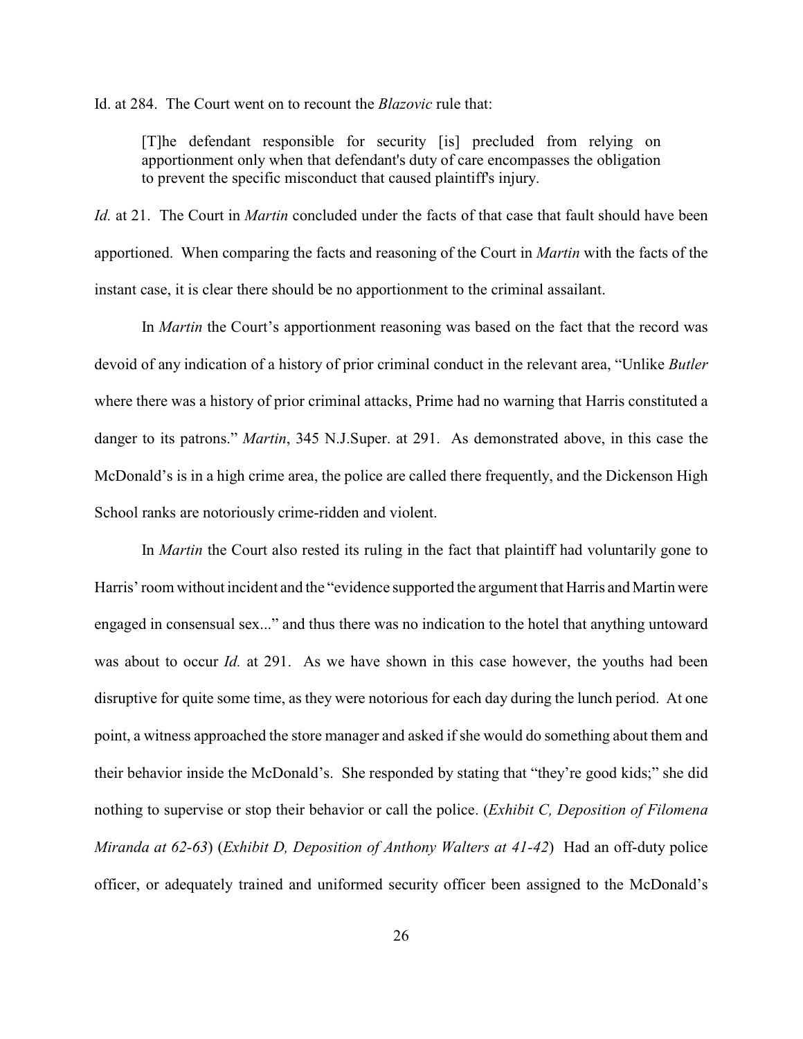Id. at 284. The Court went on to recount the *Blazovic* rule that:

[T]he defendant responsible for security [is] precluded from relying on apportionment only when that defendant's duty of care encompasses the obligation to prevent the specific misconduct that caused plaintiff's injury.

*Id.* at 21. The Court in *Martin* concluded under the facts of that case that fault should have been apportioned. When comparing the facts and reasoning of the Court in *Martin* with the facts of the instant case, it is clear there should be no apportionment to the criminal assailant.

In *Martin* the Court's apportionment reasoning was based on the fact that the record was devoid of any indication of a history of prior criminal conduct in the relevant area, "Unlike *Butler* where there was a history of prior criminal attacks, Prime had no warning that Harris constituted a danger to its patrons." *Martin*, 345 N.J.Super. at 291. As demonstrated above, in this case the McDonald's is in a high crime area, the police are called there frequently, and the Dickenson High School ranks are notoriously crime-ridden and violent.

In *Martin* the Court also rested its ruling in the fact that plaintiff had voluntarily gone to Harris' room without incident and the "evidence supported the argument that Harris and Martin were engaged in consensual sex..." and thus there was no indication to the hotel that anything untoward was about to occur *Id.* at 291. As we have shown in this case however, the youths had been disruptive for quite some time, as they were notorious for each day during the lunch period. At one point, a witness approached the store manager and asked if she would do something about them and their behavior inside the McDonald's. She responded by stating that "they're good kids;" she did nothing to supervise or stop their behavior or call the police. (*Exhibit C, Deposition of Filomena Miranda at 62-63*) (*Exhibit D, Deposition of Anthony Walters at 41-42*) Had an off-duty police officer, or adequately trained and uniformed security officer been assigned to the McDonald's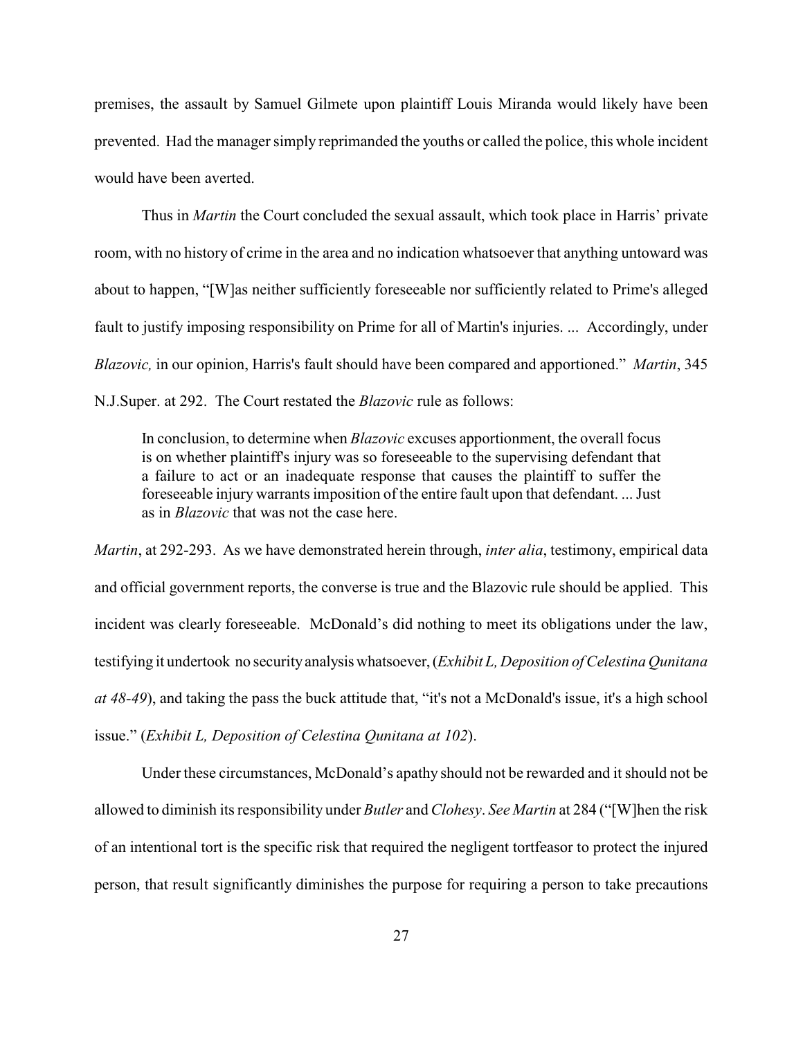premises, the assault by Samuel Gilmete upon plaintiff Louis Miranda would likely have been prevented. Had the manager simply reprimanded the youths or called the police, this whole incident would have been averted.

Thus in *Martin* the Court concluded the sexual assault, which took place in Harris' private room, with no history of crime in the area and no indication whatsoever that anything untoward was about to happen, "[W]as neither sufficiently foreseeable nor sufficiently related to Prime's alleged fault to justify imposing responsibility on Prime for all of Martin's injuries. ... Accordingly, under *Blazovic,* in our opinion, Harris's fault should have been compared and apportioned." *Martin*, 345 N.J.Super. at 292. The Court restated the *Blazovic* rule as follows:

In conclusion, to determine when *Blazovic* excuses apportionment, the overall focus is on whether plaintiff's injury was so foreseeable to the supervising defendant that a failure to act or an inadequate response that causes the plaintiff to suffer the foreseeable injury warrants imposition of the entire fault upon that defendant. ... Just as in *Blazovic* that was not the case here.

*Martin*, at 292-293. As we have demonstrated herein through, *inter alia*, testimony, empirical data and official government reports, the converse is true and the Blazovic rule should be applied. This incident was clearly foreseeable. McDonald's did nothing to meet its obligations under the law, testifying it undertook no security analysis whatsoever, (*Exhibit L, Deposition of Celestina Qunitana at 48-49*), and taking the pass the buck attitude that, "it's not a McDonald's issue, it's a high school issue." (*Exhibit L, Deposition of Celestina Qunitana at 102*).

Under these circumstances, McDonald's apathy should not be rewarded and it should not be allowed to diminish its responsibility under *Butler* and *Clohesy*. *See Martin* at 284 ("[W]hen the risk of an intentional tort is the specific risk that required the negligent tortfeasor to protect the injured person, that result significantly diminishes the purpose for requiring a person to take precautions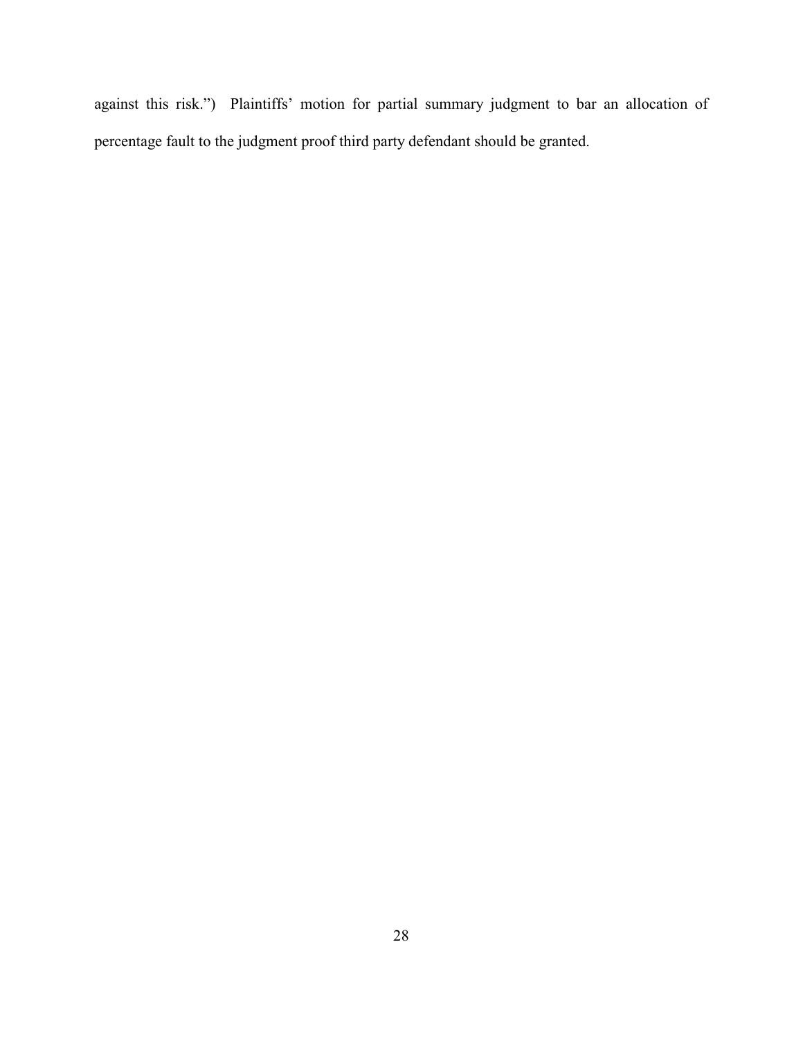against this risk.") Plaintiffs' motion for partial summary judgment to bar an allocation of percentage fault to the judgment proof third party defendant should be granted.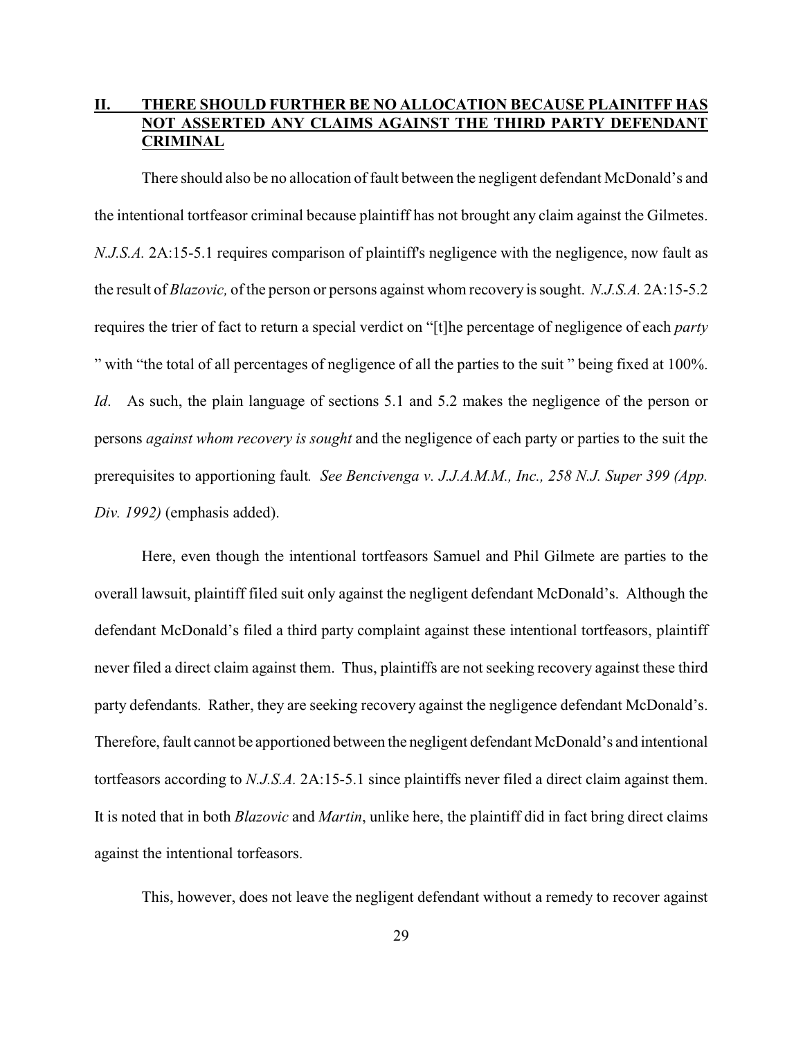## **II. THERE SHOULD FURTHER BE NO ALLOCATION BECAUSE PLAINITFF HAS NOT ASSERTED ANY CLAIMS AGAINST THE THIRD PARTY DEFENDANT CRIMINAL**

There should also be no allocation of fault between the negligent defendant McDonald's and the intentional tortfeasor criminal because plaintiff has not brought any claim against the Gilmetes. *N.J.S.A.* 2A:15-5.1 requires comparison of plaintiff's negligence with the negligence, now fault as the result of *Blazovic,* of the person or persons against whom recovery is sought. *N.J.S.A.* 2A:15-5.2 requires the trier of fact to return a special verdict on "[t]he percentage of negligence of each *party* " with "the total of all percentages of negligence of all the parties to the suit " being fixed at 100%. *Id.* As such, the plain language of sections 5.1 and 5.2 makes the negligence of the person or persons *against whom recovery is sought* and the negligence of each party or parties to the suit the prerequisites to apportioning fault*. See Bencivenga v. J.J.A.M.M., Inc., 258 N.J. Super 399 (App. Div. 1992)* (emphasis added).

Here, even though the intentional tortfeasors Samuel and Phil Gilmete are parties to the overall lawsuit, plaintiff filed suit only against the negligent defendant McDonald's. Although the defendant McDonald's filed a third party complaint against these intentional tortfeasors, plaintiff never filed a direct claim against them. Thus, plaintiffs are not seeking recovery against these third party defendants. Rather, they are seeking recovery against the negligence defendant McDonald's. Therefore, fault cannot be apportioned between the negligent defendant McDonald's and intentional tortfeasors according to *N.J.S.A.* 2A:15-5.1 since plaintiffs never filed a direct claim against them. It is noted that in both *Blazovic* and *Martin*, unlike here, the plaintiff did in fact bring direct claims against the intentional torfeasors.

This, however, does not leave the negligent defendant without a remedy to recover against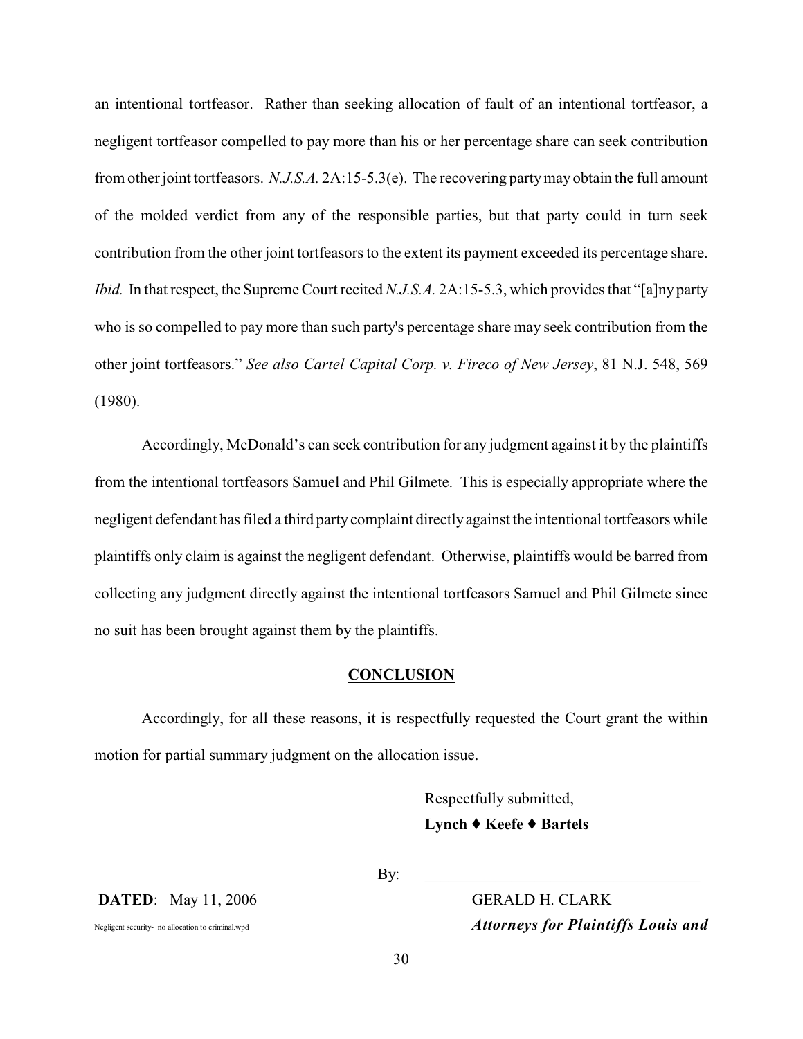an intentional tortfeasor. Rather than seeking allocation of fault of an intentional tortfeasor, a negligent tortfeasor compelled to pay more than his or her percentage share can seek contribution from other joint tortfeasors. *N.J.S.A.* 2A:15-5.3(e). The recovering partymay obtain the full amount of the molded verdict from any of the responsible parties, but that party could in turn seek contribution from the other joint tortfeasors to the extent its payment exceeded its percentage share. *Ibid.* In that respect, the Supreme Court recited *N.J.S.A.* 2A:15-5.3, which provides that "[a]ny party who is so compelled to pay more than such party's percentage share may seek contribution from the other joint tortfeasors." *See also Cartel Capital Corp. v. Fireco of New Jersey*, 81 N.J. 548, 569 (1980).

Accordingly, McDonald's can seek contribution for any judgment against it by the plaintiffs from the intentional tortfeasors Samuel and Phil Gilmete. This is especially appropriate where the negligent defendant has filed a third party complaint directly against the intentional tortfeasors while plaintiffs only claim is against the negligent defendant. Otherwise, plaintiffs would be barred from collecting any judgment directly against the intentional tortfeasors Samuel and Phil Gilmete since no suit has been brought against them by the plaintiffs.

### **CONCLUSION**

Accordingly, for all these reasons, it is respectfully requested the Court grant the within motion for partial summary judgment on the allocation issue.

> Respectfully submitted, Lynch ♦ Keefe ♦ Bartels

By: \_\_\_\_\_\_\_\_\_\_\_\_\_\_\_\_\_\_\_\_\_\_\_\_\_\_\_\_\_\_\_\_\_\_\_

**DATED**: May 11, 2006 GERALD H. CLARK

Negligent security- no allocation to criminal.wpd *Attorneys for Plaintiffs Louis and*